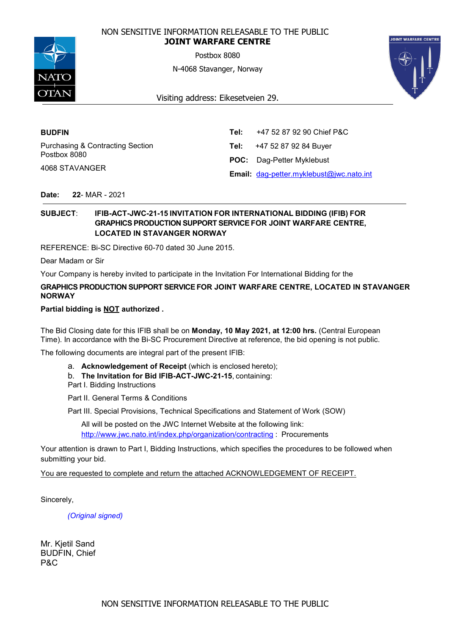

#### NON SENSITIVE INFORMATION RELEASABLE TO THE PUBLIC **JOINT WARFARE CENTRE**

Postbox 8080

N-4068 Stavanger, Norway



#### Visiting address: Eikesetveien 29.

**BUDFIN**

Purchasing & Contracting Section Postbox 8080

4068 STAVANGER

**Tel:** +47 52 87 92 90 Chief P&C **Tel:** +47 52 87 92 84 Buyer **POC:** Dag-Petter Myklebust **Email:** [dag-petter.myklebust@jwc.nato.int](mailto:dag-petter.myklebust@jwc.nato.int)

#### **Date: 22**- MAR - 2021

#### **SUBJECT**: **IFIB-ACT-JWC-21-15 INVITATION FOR INTERNATIONAL BIDDING (IFIB) FOR GRAPHICS PRODUCTION SUPPORT SERVICE FOR JOINT WARFARE CENTRE, LOCATED IN STAVANGER NORWAY**

REFERENCE: Bi-SC Directive 60-70 dated 30 June 2015.

Dear Madam or Sir

Your Company is hereby invited to participate in the Invitation For International Bidding for the

#### **GRAPHICS PRODUCTION SUPPORT SERVICE FOR JOINT WARFARE CENTRE, LOCATED IN STAVANGER NORWAY**

#### **Partial bidding is NOT authorized .**

The Bid Closing date for this IFIB shall be on **Monday, 10 May 2021, at 12:00 hrs.** (Central European Time). In accordance with the Bi-SC Procurement Directive at reference, the bid opening is not public.

The following documents are integral part of the present IFIB:

- a. **Acknowledgement of Receipt** (which is enclosed hereto);
- b. **The Invitation for Bid IFIB-ACT-JWC-21-15**, containing:

Part I. Bidding Instructions

Part II. General Terms & Conditions

Part III. Special Provisions, Technical Specifications and Statement of Work (SOW)

All will be posted on the JWC Internet Website at the following link: <http://www.jwc.nato.int/index.php/organization/contracting> : Procurements

Your attention is drawn to Part I, Bidding Instructions, which specifies the procedures to be followed when submitting your bid.

You are requested to complete and return the attached ACKNOWLEDGEMENT OF RECEIPT.

Sincerely,

*(Original signed)*

Mr. Kjetil Sand BUDFIN, Chief P&C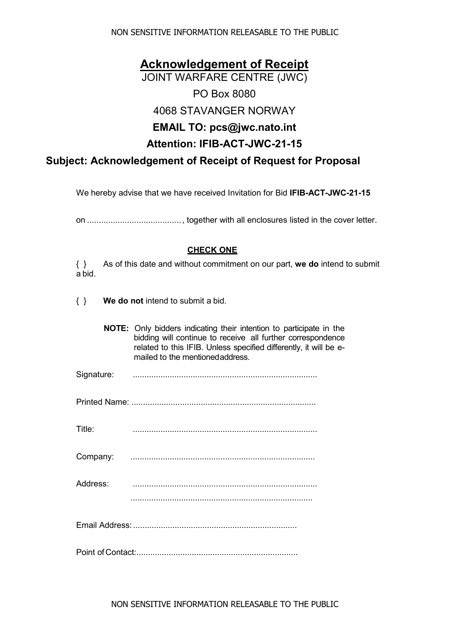NON SENSITIVE INFORMATION RELEASABLE TO THE PUBLIC

# **Acknowledgement of Receipt** JOINT WARFARE CENTRE (JWC) PO Box 8080 4068 STAVANGER NORWAY **EMAIL TO: [pcs@jwc.nato.int](mailto:pcs@jwc.nato.int) Attention: IFIB-ACT-JWC-21-15 Subject: Acknowledgement of Receipt of Request for Proposal**

We hereby advise that we have received Invitation for Bid **IFIB-ACT-JWC-21-15**

on ........................................, together with all enclosures listed in the cover letter.

#### **CHECK ONE**

|        | As of this date and without commitment on our part, we do intend to submit |
|--------|----------------------------------------------------------------------------|
| a bid. |                                                                            |

{ } **We do not** intend to submit a bid.

| <b>NOTE:</b> Only bidders indicating their intention to participate in the |  |  |  |
|----------------------------------------------------------------------------|--|--|--|
| bidding will continue to receive all further correspondence                |  |  |  |
| related to this IFIB. Unless specified differently, it will be e-          |  |  |  |
| mailed to the mentioned address.                                           |  |  |  |

| $\sim$<br>Siqi |  |
|----------------|--|
|                |  |

Title: ................................................................................

Company: ................................................................................

Address: ................................................................................

...............................................................................

Email Address: .......................................................................

Point of Contact:......................................................................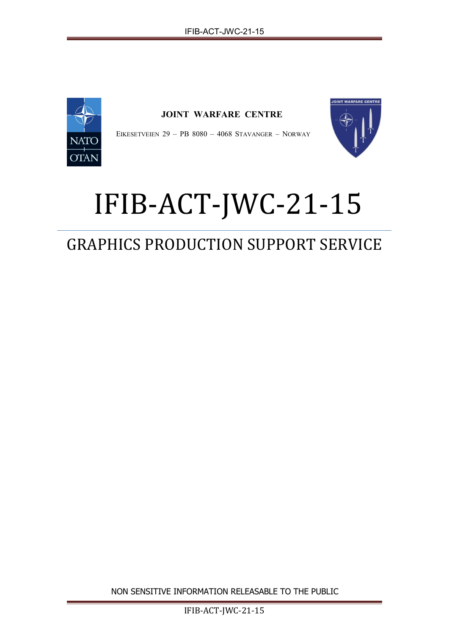

# **JOINT WARFARE CENTRE**

EIKESETVEIEN 29 – PB 8080 – 4068 STAVANGER – NORWAY



# IFIB-ACT-JWC-21-15

# GRAPHICS PRODUCTION SUPPORT SERVICE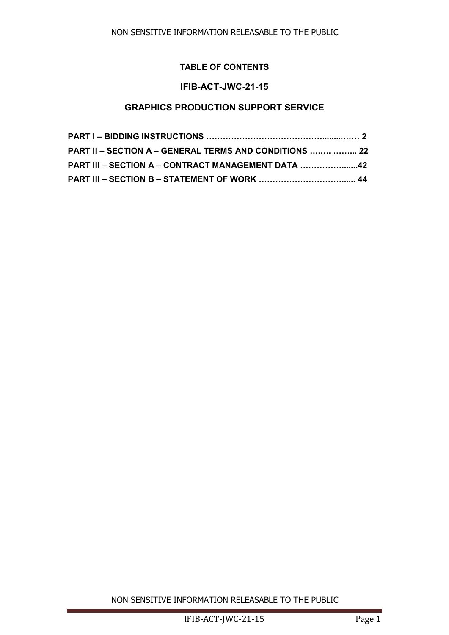# **TABLE OF CONTENTS**

# **IFIB-ACT-JWC-21-15**

# **GRAPHICS PRODUCTION SUPPORT SERVICE**

| PART II - SECTION A - GENERAL TERMS AND CONDITIONS   22 |  |
|---------------------------------------------------------|--|
| PART III - SECTION A - CONTRACT MANAGEMENT DATA 42      |  |
|                                                         |  |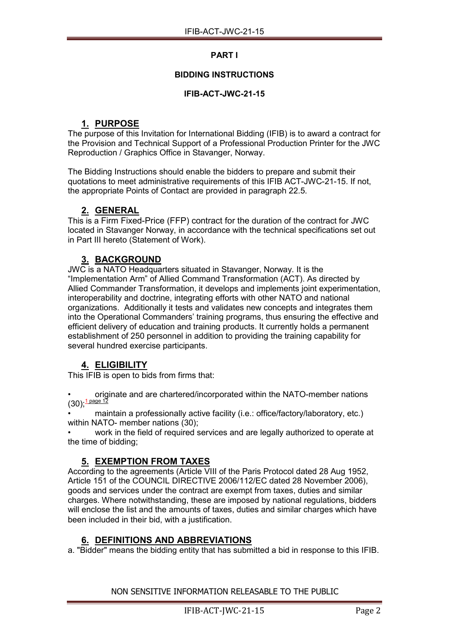# **PART I**

#### **BIDDING INSTRUCTIONS**

#### **IFIB-ACT-JWC-21-15**

# **1. PURPOSE**

The purpose of this Invitation for International Bidding (IFIB) is to award a contract for the Provision and Technical Support of a Professional Production Printer for the JWC Reproduction / Graphics Office in Stavanger, Norway.

The Bidding Instructions should enable the bidders to prepare and submit their quotations to meet administrative requirements of this IFIB ACT-JWC-21-15. If not, the appropriate Points of Contact are provided in paragraph 22.5.

# **2. GENERAL**

This is a Firm Fixed-Price (FFP) contract for the duration of the contract for JWC located in Stavanger Norway, in accordance with the technical specifications set out in Part III hereto (Statement of Work).

# **3. BACKGROUND**

JWC is a NATO Headquarters situated in Stavanger, Norway. It is the "Implementation Arm" of Allied Command Transformation (ACT). As directed by Allied Commander Transformation, it develops and implements joint experimentation, interoperability and doctrine, integrating efforts with other NATO and national organizations. Additionally it tests and validates new concepts and integrates them into the Operational Commanders' training programs, thus ensuring the effective and efficient delivery of education and training products. It currently holds a permanent establishment of 250 personnel in addition to providing the training capability for several hundred exercise participants.

# **4. ELIGIBILITY**

This IFIB is open to bids from firms that:

• originate and are chartered/incorporated within the NATO-member nations (30); <del>1 page 12</del>

• maintain a professionally active facility (i.e.: office/factory/laboratory, etc.) within NATO- member nations (30);

• work in the field of required services and are legally authorized to operate at the time of bidding;

#### **5. EXEMPTION FROM TAXES**

According to the agreements (Article VIII of the Paris Protocol dated 28 Aug 1952, Article 151 of the COUNCIL DIRECTIVE 2006/112/EC dated 28 November 2006), goods and services under the contract are exempt from taxes, duties and similar charges. Where notwithstanding, these are imposed by national regulations, bidders will enclose the list and the amounts of taxes, duties and similar charges which have been included in their bid, with a justification.

#### **6. DEFINITIONS AND ABBREVIATIONS**

a. "Bidder" means the bidding entity that has submitted a bid in response to this IFIB.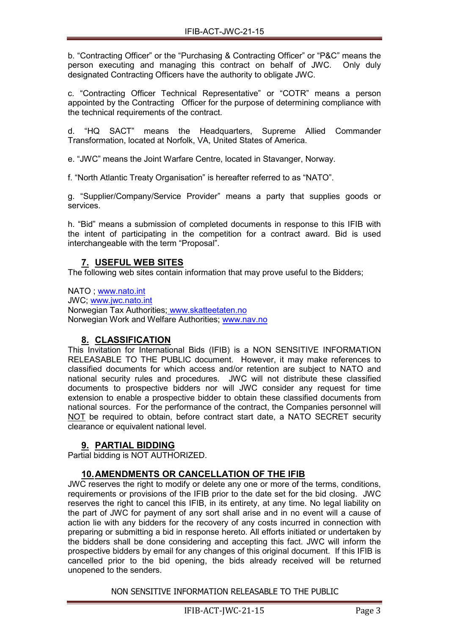b. "Contracting Officer" or the "Purchasing & Contracting Officer" or "P&C" means the person executing and managing this contract on behalf of JWC. Only duly designated Contracting Officers have the authority to obligate JWC.

c. "Contracting Officer Technical Representative" or "COTR" means a person appointed by the Contracting Officer for the purpose of determining compliance with the technical requirements of the contract.

d. "HQ SACT" means the Headquarters, Supreme Allied Commander Transformation, located at Norfolk, VA, United States of America.

e. "JWC" means the Joint Warfare Centre, located in Stavanger, Norway.

f. "North Atlantic Treaty Organisation" is hereafter referred to as "NATO".

g. "Supplier/Company/Service Provider" means a party that supplies goods or services.

h. "Bid" means a submission of completed documents in response to this IFIB with the intent of participating in the competition for a contract award. Bid is used interchangeable with the term "Proposal".

#### **7. USEFUL WEB SITES**

The following web sites contain information that may prove useful to the Bidders;

NATO ; [www.nato.int](http://www.nato.int/)

JWC; [www.jwc.nato.int](http://www.jwc.nato.int/) Norwegian Tax Authorities; [www.skatteetaten.no](http://www.skatteetaten.no/) Norwegian Work and Welfare Authorities; www.nav.no

#### **8. CLASSIFICATION**

This Invitation for International Bids (IFIB) is a NON SENSITIVE INFORMATION RELEASABLE TO THE PUBLIC document. However, it may make references to classified documents for which access and/or retention are subject to NATO and national security rules and procedures. JWC will not distribute these classified documents to prospective bidders nor will JWC consider any request for time extension to enable a prospective bidder to obtain these classified documents from national sources. For the performance of the contract, the Companies personnel will NOT be required to obtain, before contract start date, a NATO SECRET security clearance or equivalent national level.

#### **9. PARTIAL BIDDING**

Partial bidding is NOT AUTHORIZED.

#### **10.AMENDMENTS OR CANCELLATION OF THE IFIB**

JWC reserves the right to modify or delete any one or more of the terms, conditions, requirements or provisions of the IFIB prior to the date set for the bid closing. JWC reserves the right to cancel this IFIB, in its entirety, at any time. No legal liability on the part of JWC for payment of any sort shall arise and in no event will a cause of action lie with any bidders for the recovery of any costs incurred in connection with preparing or submitting a bid in response hereto. All efforts initiated or undertaken by the bidders shall be done considering and accepting this fact. JWC will inform the prospective bidders by email for any changes of this original document. If this IFIB is cancelled prior to the bid opening, the bids already received will be returned unopened to the senders.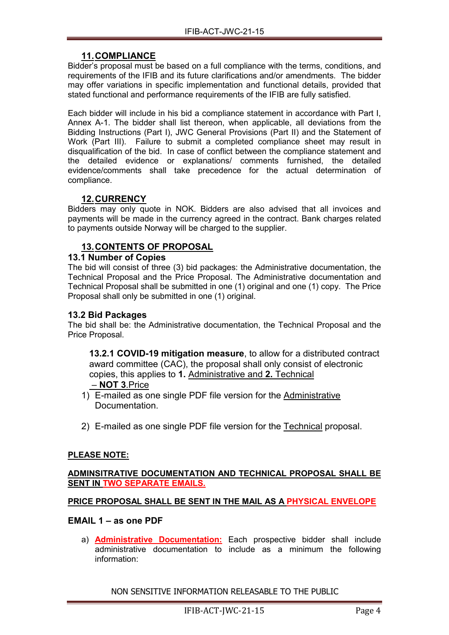# **11.COMPLIANCE**

Bidder's proposal must be based on a full compliance with the terms, conditions, and requirements of the IFIB and its future clarifications and/or amendments. The bidder may offer variations in specific implementation and functional details, provided that stated functional and performance requirements of the IFIB are fully satisfied.

Each bidder will include in his bid a compliance statement in accordance with Part I, Annex A-1. The bidder shall list thereon, when applicable, all deviations from the Bidding Instructions (Part I), JWC General Provisions (Part II) and the Statement of Work (Part III). Failure to submit a completed compliance sheet may result in disqualification of the bid. In case of conflict between the compliance statement and the detailed evidence or explanations/ comments furnished, the detailed evidence/comments shall take precedence for the actual determination of compliance.

# **12.CURRENCY**

Bidders may only quote in NOK. Bidders are also advised that all invoices and payments will be made in the currency agreed in the contract. Bank charges related to payments outside Norway will be charged to the supplier.

# **13.CONTENTS OF PROPOSAL**

#### **13.1 Number of Copies**

The bid will consist of three (3) bid packages: the Administrative documentation, the Technical Proposal and the Price Proposal. The Administrative documentation and Technical Proposal shall be submitted in one (1) original and one (1) copy. The Price Proposal shall only be submitted in one (1) original.

#### **13.2 Bid Packages**

The bid shall be: the Administrative documentation, the Technical Proposal and the Price Proposal.

**13.2.1 COVID-19 mitigation measure**, to allow for a distributed contract award committee (CAC), the proposal shall only consist of electronic copies, this applies to **1.** Administrative and **2.** Technical – **NOT 3**.Price

- 1) E-mailed as one single PDF file version for the Administrative Documentation.
- 2) E-mailed as one single PDF file version for the Technical proposal.

#### **PLEASE NOTE:**

#### **ADMINSITRATIVE DOCUMENTATION AND TECHNICAL PROPOSAL SHALL BE SENT IN TWO SEPARATE EMAILS.**

#### **PRICE PROPOSAL SHALL BE SENT IN THE MAIL AS A PHYSICAL ENVELOPE**

#### **EMAIL 1 – as one PDF**

a) **Administrative Documentation:** Each prospective bidder shall include administrative documentation to include as a minimum the following information: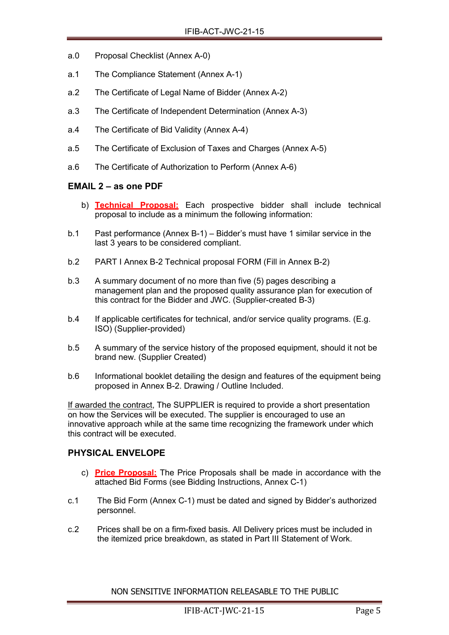- a.0 Proposal Checklist (Annex A-0)
- a.1 The Compliance Statement (Annex A-1)
- a.2 The Certificate of Legal Name of Bidder (Annex A-2)
- a.3 The Certificate of Independent Determination (Annex A-3)
- a.4 The Certificate of Bid Validity (Annex A-4)
- a.5 The Certificate of Exclusion of Taxes and Charges (Annex A-5)
- a.6 The Certificate of Authorization to Perform (Annex A-6)

#### **EMAIL 2 – as one PDF**

- b) **Technical Proposal:** Each prospective bidder shall include technical proposal to include as a minimum the following information:
- b.1 Past performance (Annex B-1) Bidder's must have 1 similar service in the last 3 years to be considered compliant.
- b.2 PART I Annex B-2 Technical proposal FORM (Fill in Annex B-2)
- b.3 A summary document of no more than five (5) pages describing a management plan and the proposed quality assurance plan for execution of this contract for the Bidder and JWC. (Supplier-created B-3)
- b.4 If applicable certificates for technical, and/or service quality programs. (E.g. ISO) (Supplier-provided)
- b.5 A summary of the service history of the proposed equipment, should it not be brand new. (Supplier Created)
- b.6 Informational booklet detailing the design and features of the equipment being proposed in Annex B-2. Drawing / Outline Included.

If awarded the contract, The SUPPLIER is required to provide a short presentation on how the Services will be executed. The supplier is encouraged to use an innovative approach while at the same time recognizing the framework under which this contract will be executed.

#### **PHYSICAL ENVELOPE**

- c) **Price Proposal:** The Price Proposals shall be made in accordance with the attached Bid Forms (see Bidding Instructions, Annex C-1)
- c.1 The Bid Form (Annex C-1) must be dated and signed by Bidder's authorized personnel.
- c.2 Prices shall be on a firm-fixed basis. All Delivery prices must be included in the itemized price breakdown, as stated in Part III Statement of Work.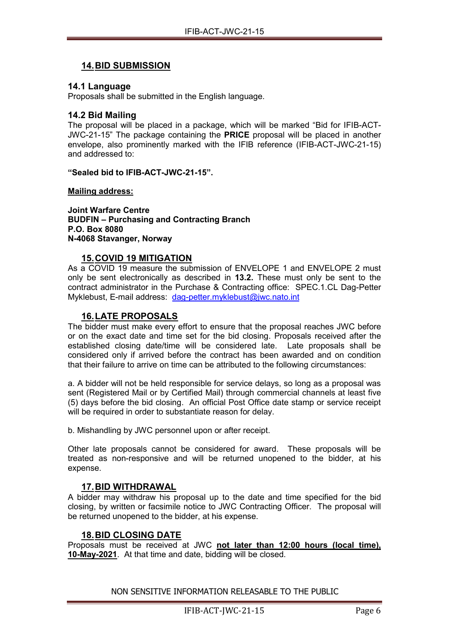# **14.BID SUBMISSION**

#### **14.1 Language**

Proposals shall be submitted in the English language.

#### **14.2 Bid Mailing**

The proposal will be placed in a package, which will be marked "Bid for IFIB-ACT-JWC-21-15" The package containing the **PRICE** proposal will be placed in another envelope, also prominently marked with the IFIB reference (IFIB-ACT-JWC-21-15) and addressed to:

**"Sealed bid to IFIB-ACT-JWC-21-15".**

**Mailing address:**

**Joint Warfare Centre BUDFIN – Purchasing and Contracting Branch P.O. Box 8080 N-4068 Stavanger, Norway**

#### **15.COVID 19 MITIGATION**

As a COVID 19 measure the submission of ENVELOPE 1 and ENVELOPE 2 must only be sent electronically as described in **13.2.** These must only be sent to the contract administrator in the Purchase & Contracting office: SPEC.1.CL Dag-Petter Myklebust, E-mail address: [dag-petter.myklebust@jwc.nato.int](mailto:dag-petter.myklebust@jwc.nato.int)

#### **16.LATE PROPOSALS**

The bidder must make every effort to ensure that the proposal reaches JWC before or on the exact date and time set for the bid closing. Proposals received after the established closing date/time will be considered late. Late proposals shall be considered only if arrived before the contract has been awarded and on condition that their failure to arrive on time can be attributed to the following circumstances:

a. A bidder will not be held responsible for service delays, so long as a proposal was sent (Registered Mail or by Certified Mail) through commercial channels at least five (5) days before the bid closing. An official Post Office date stamp or service receipt will be required in order to substantiate reason for delay.

b. Mishandling by JWC personnel upon or after receipt.

Other late proposals cannot be considered for award. These proposals will be treated as non-responsive and will be returned unopened to the bidder, at his expense.

#### **17.BID WITHDRAWAL**

A bidder may withdraw his proposal up to the date and time specified for the bid closing, by written or facsimile notice to JWC Contracting Officer. The proposal will be returned unopened to the bidder, at his expense.

#### **18.BID CLOSING DATE**

Proposals must be received at JWC **not later than 12:00 hours (local time), 10-May-2021**. At that time and date, bidding will be closed.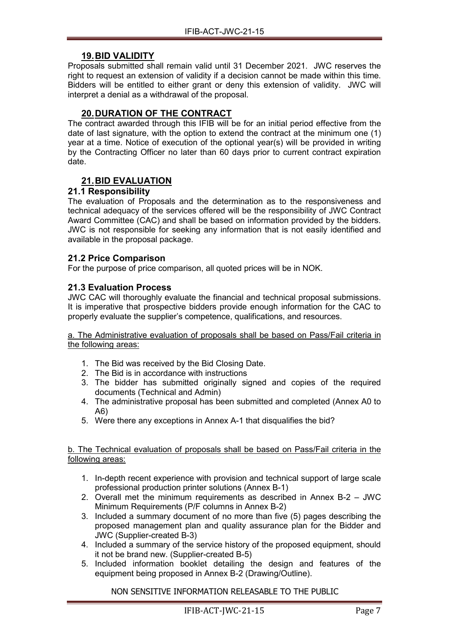# **19.BID VALIDITY**

Proposals submitted shall remain valid until 31 December 2021. JWC reserves the right to request an extension of validity if a decision cannot be made within this time. Bidders will be entitled to either grant or deny this extension of validity. JWC will interpret a denial as a withdrawal of the proposal.

#### **20.DURATION OF THE CONTRACT**

The contract awarded through this IFIB will be for an initial period effective from the date of last signature, with the option to extend the contract at the minimum one (1) year at a time. Notice of execution of the optional year(s) will be provided in writing by the Contracting Officer no later than 60 days prior to current contract expiration date.

#### **21.BID EVALUATION**

#### **21.1 Responsibility**

The evaluation of Proposals and the determination as to the responsiveness and technical adequacy of the services offered will be the responsibility of JWC Contract Award Committee (CAC) and shall be based on information provided by the bidders. JWC is not responsible for seeking any information that is not easily identified and available in the proposal package.

#### **21.2 Price Comparison**

For the purpose of price comparison, all quoted prices will be in NOK.

#### **21.3 Evaluation Process**

JWC CAC will thoroughly evaluate the financial and technical proposal submissions. It is imperative that prospective bidders provide enough information for the CAC to properly evaluate the supplier's competence, qualifications, and resources.

a. The Administrative evaluation of proposals shall be based on Pass/Fail criteria in the following areas:

- 1. The Bid was received by the Bid Closing Date.
- 2. The Bid is in accordance with instructions
- 3. The bidder has submitted originally signed and copies of the required documents (Technical and Admin)
- 4. The administrative proposal has been submitted and completed (Annex A0 to A6)
- 5. Were there any exceptions in Annex A-1 that disqualifies the bid?

#### b. The Technical evaluation of proposals shall be based on Pass/Fail criteria in the following areas:

- 1. In-depth recent experience with provision and technical support of large scale professional production printer solutions (Annex B-1)
- 2. Overall met the minimum requirements as described in Annex B-2 JWC Minimum Requirements (P/F columns in Annex B-2)
- 3. Included a summary document of no more than five (5) pages describing the proposed management plan and quality assurance plan for the Bidder and JWC (Supplier-created B-3)
- 4. Included a summary of the service history of the proposed equipment, should it not be brand new. (Supplier-created B-5)
- 5. Included information booklet detailing the design and features of the equipment being proposed in Annex B-2 (Drawing/Outline).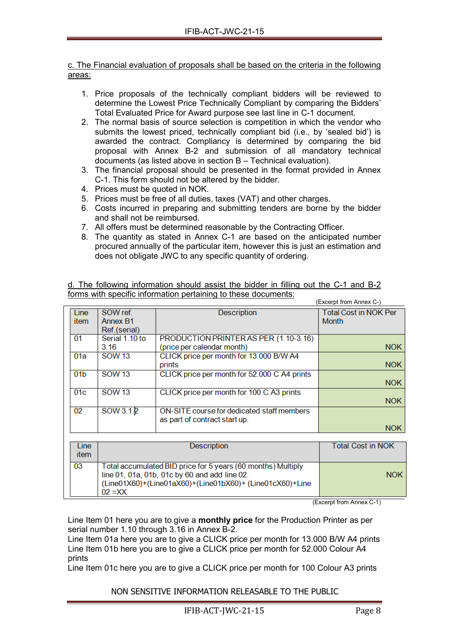c. The Financial evaluation of proposals shall be based on the criteria in the following areas:

- 1. Price proposals of the technically compliant bidders will be reviewed to determine the Lowest Price Technically Compliant by comparing the Bidders' Total Evaluated Price for Award purpose see last line in C-1 document.
- 2. The normal basis of source selection is competition in which the vendor who submits the lowest priced, technically compliant bid (i.e., by 'sealed bid') is awarded the contract. Compliancy is determined by comparing the bid proposal with Annex B-2 and submission of all mandatory technical documents (as listed above in section B – Technical evaluation).
- 3. The financial proposal should be presented in the format provided in Annex C-1. This form should not be altered by the bidder.
- 4. Prices must be quoted in NOK.
- 5. Prices must be free of all duties, taxes (VAT) and other charges.
- 6. Costs incurred in preparing and submitting tenders are borne by the bidder and shall not be reimbursed.
- 7. All offers must be determined reasonable by the Contracting Officer.
- 8. The quantity as stated in Annex C-1 are based on the anticipated number procured annually of the particular item, however this is just an estimation and does not obligate JWC to any specific quantity of ordering.

d. The following information should assist the bidder in filling out the C-1 and B-2 forms with specific information pertaining to these documents: (Excerpt from Annex C-)

|               |                                              | ו אסווות אווופג ט־ון (ווען   |
|---------------|----------------------------------------------|------------------------------|
| SOW ref       | <b>Description</b>                           | <b>Total Cost in NOK Per</b> |
| Annex B1      |                                              | <b>Month</b>                 |
| Ref.(serial)  |                                              |                              |
|               | PRODUCTION PRINTER AS PER (1.10-3.16)        |                              |
| 3.16          | (price per calendar month)                   | <b>NOK</b>                   |
| <b>SOW 13</b> | CLICK price per month for 13.000 B/W A4      |                              |
|               | prints                                       | <b>NOK</b>                   |
| <b>SOW 13</b> | CLICK price per month for 52.000 C A4 prints |                              |
|               |                                              | <b>NOK</b>                   |
| <b>SOW 13</b> | CLICK price per month for 100 C A3 prints    |                              |
|               |                                              | <b>NOK</b>                   |
| SOW 3.1.2     | ON-SITE course for dedicated staff members   |                              |
|               | as part of contract start up.                |                              |
|               |                                              | <b>NOK</b>                   |
|               | Serial 1.10 to                               |                              |

| Line<br>item | <b>Description</b>                                                                                                                                                                     | Total Cost in NOK |
|--------------|----------------------------------------------------------------------------------------------------------------------------------------------------------------------------------------|-------------------|
| 03           | Total accumulated BID price for 5 years (60 months) Multiply<br>line 01, 01a, 01b, 01c by 60 and add line 02.<br>(Line01X60)+(Line01aX60)+(Line01bX60)+ (Line01cX60)+Line<br>$02 = XX$ | <b>NOK</b>        |

(Excerpt from Annex C-1)

Line Item 01 here you are to give a **monthly price** for the Production Printer as per serial number 1.10 through 3.16 in Annex B-2.

Line Item 01a here you are to give a CLICK price per month for 13.000 B/W A4 prints Line Item 01b here you are to give a CLICK price per month for 52.000 Colour A4 prints

Line Item 01c here you are to give a CLICK price per month for 100 Colour A3 prints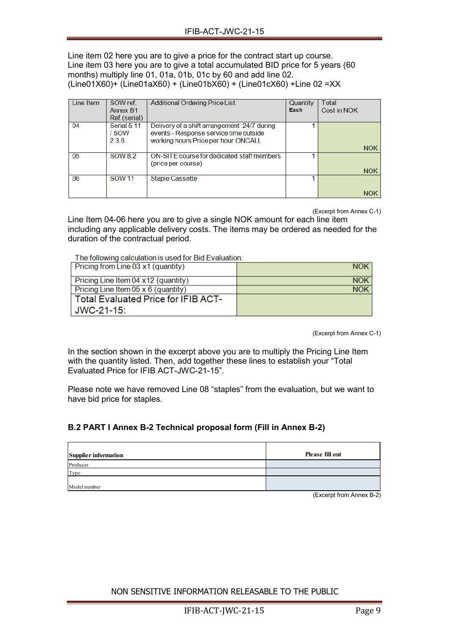Line item 02 here you are to give a price for the contract start up course. Line item 03 here you are to give a total accumulated BID price for 5 years (60 months) multiply line 01, 01a, 01b, 01c by 60 and add line 02. (Line01X60)+ (Line01aX60) + (Line01bX60) + (Line01cX60) +Line 02 =XX

| Line Item | SOW ref<br>Annex B <sub>1</sub><br>Ref.(serial) | <b>Additional Ordering Price List</b>                                                                                        | Quantity<br>Each | Total<br>Cost in NOK |
|-----------|-------------------------------------------------|------------------------------------------------------------------------------------------------------------------------------|------------------|----------------------|
| 04        | Serial 5.11<br>/ SOW<br>236                     | Delivery of a shift arrangement 24/7 during<br>events - Response service time outside<br>working hours Price per hour ONCALL |                  | <b>NOK</b>           |
| 05        | <b>SOW 8.2</b>                                  | ON-SITE course for dedicated staff members<br>(price per course)                                                             |                  | <b>NOK</b>           |
| 06        | <b>SOW 11</b>                                   | <b>Staple Cassette</b>                                                                                                       |                  | <b>NOK</b>           |

(Excerpt from Annex C-1)

Line Item 04-06 here you are to give a single NOK amount for each line item including any applicable delivery costs. The items may be ordered as needed for the duration of the contractual period.

The following calculation is used for Bid Evaluation:

| Pricing from Line 03 x1 (quantity)         | NOK I |
|--------------------------------------------|-------|
| Pricing Line Item 04 x 12 (quantity)       | NOK   |
| Pricing Line Item 05 x 6 (quantity)        | NOK.  |
| <b>Total Evaluated Price for IFIB ACT-</b> |       |
| JWC-21-15:                                 |       |

(Excerpt from Annex C-1)

In the section shown in the excerpt above you are to multiply the Pricing Line Item with the quantity listed. Then, add together these lines to establish your "Total Evaluated Price for IFIB ACT-JWC-21-15".

Please note we have removed Line 08 "staples" from the evaluation, but we want to have bid price for staples.

#### **B.2 PART I Annex B-2 Technical proposal form (Fill in Annex B-2)**

| Supplier information | Please fill out |
|----------------------|-----------------|
| Producer             |                 |
| Type                 |                 |
|                      |                 |
| Model number         |                 |

(Excerpt from Annex B-2)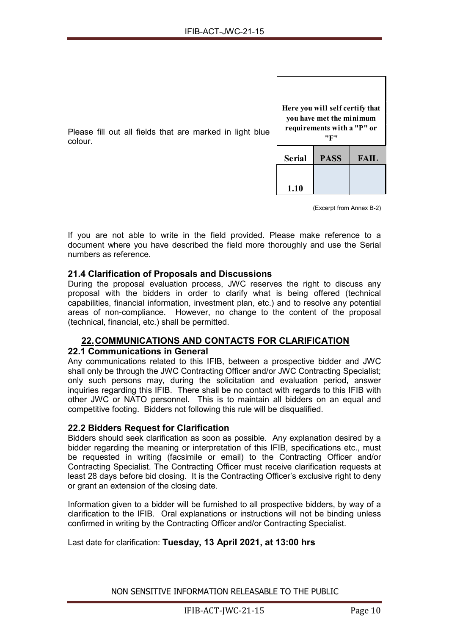Please fill out all fields that are marked in light blue colour.

| Here you will self certify that<br>you have met the minimum<br>requirements with a "P" or<br>"F" |             |      |
|--------------------------------------------------------------------------------------------------|-------------|------|
| <b>Serial</b>                                                                                    | <b>PASS</b> | FAIL |
| 1.10                                                                                             |             |      |

(Excerpt from Annex B-2)

If you are not able to write in the field provided. Please make reference to a document where you have described the field more thoroughly and use the Serial numbers as reference.

#### **21.4 Clarification of Proposals and Discussions**

During the proposal evaluation process, JWC reserves the right to discuss any proposal with the bidders in order to clarify what is being offered (technical capabilities, financial information, investment plan, etc.) and to resolve any potential areas of non-compliance. However, no change to the content of the proposal (technical, financial, etc.) shall be permitted.

# **22.COMMUNICATIONS AND CONTACTS FOR CLARIFICATION**

#### **22.1 Communications in General**

Any communications related to this IFIB, between a prospective bidder and JWC shall only be through the JWC Contracting Officer and/or JWC Contracting Specialist; only such persons may, during the solicitation and evaluation period, answer inquiries regarding this IFIB. There shall be no contact with regards to this IFIB with other JWC or NATO personnel. This is to maintain all bidders on an equal and competitive footing. Bidders not following this rule will be disqualified.

#### **22.2 Bidders Request for Clarification**

Bidders should seek clarification as soon as possible. Any explanation desired by a bidder regarding the meaning or interpretation of this IFIB, specifications etc., must be requested in writing (facsimile or email) to the Contracting Officer and/or Contracting Specialist. The Contracting Officer must receive clarification requests at least 28 days before bid closing. It is the Contracting Officer's exclusive right to deny or grant an extension of the closing date.

Information given to a bidder will be furnished to all prospective bidders, by way of a clarification to the IFIB. Oral explanations or instructions will not be binding unless confirmed in writing by the Contracting Officer and/or Contracting Specialist.

Last date for clarification: **Tuesday, 13 April 2021, at 13:00 hrs**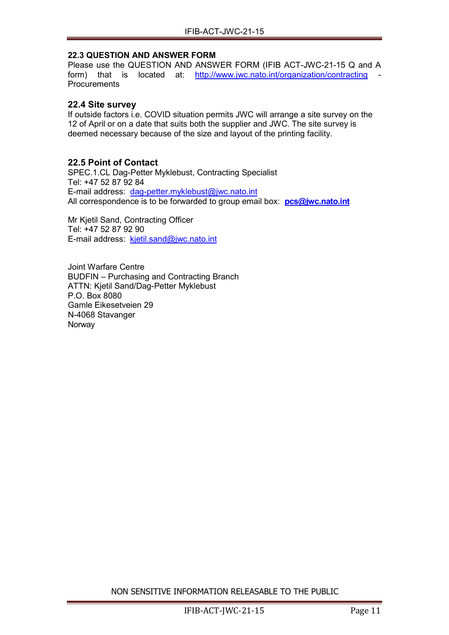#### **22.3 QUESTION AND ANSWER FORM**

Please use the QUESTION AND ANSWER FORM (IFIB ACT-JWC-21-15 Q and A form) that is located at: <http://www.jwc.nato.int/organization/contracting> **Procurements** 

#### **22.4 Site survey**

If outside factors i.e. COVID situation permits JWC will arrange a site survey on the 12 of April or on a date that suits both the supplier and JWC. The site survey is deemed necessary because of the size and layout of the printing facility.

#### **22.5 Point of Contact**

SPEC.1.CL Dag-Petter Myklebust, Contracting Specialist Tel: +47 52 87 92 84 E-mail address: [dag-petter.myklebust@jwc.nato.int](mailto:dag-petter.myklebust@jwc.nato.int) All correspondence is to be forwarded to group email box: **[pcs@jwc.nato.int](mailto:pcs@jwc.nato.int)**

Mr Kjetil Sand, Contracting Officer Tel: +47 52 87 92 90 E-mail address: [kjetil.sand@jwc.nato.int](mailto:kjetil.sand@jwc.nato.int)

Joint Warfare Centre BUDFIN – Purchasing and Contracting Branch ATTN: Kjetil Sand/Dag-Petter Myklebust P.O. Box 8080 Gamle Eikesetveien 29 N-4068 Stavanger Norway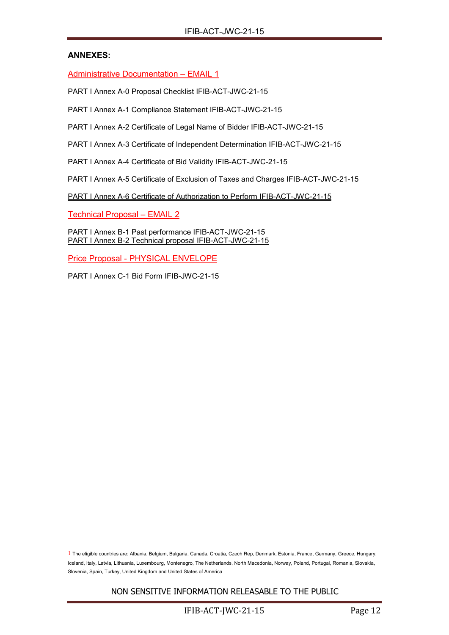#### **ANNEXES:**

Administrative Documentation – EMAIL 1

PART I Annex A-0 Proposal Checklist IFIB-ACT-JWC-21-15

PART I Annex A-1 Compliance Statement IFIB-ACT-JWC-21-15

PART I Annex A-2 Certificate of Legal Name of Bidder IFIB-ACT-JWC-21-15

PART I Annex A-3 Certificate of Independent Determination IFIB-ACT-JWC-21-15

PART I Annex A-4 Certificate of Bid Validity IFIB-ACT-JWC-21-15

PART I Annex A-5 Certificate of Exclusion of Taxes and Charges IFIB-ACT-JWC-21-15

PART I Annex A-6 Certificate of Authorization to Perform IFIB-ACT-JWC-21-15

Technical Proposal – EMAIL 2

PART I Annex B-1 Past performance IFIB-ACT-JWC-21-15 PART I Annex B-2 Technical proposal IFIB-ACT-JWC-21-15

Price Proposal - PHYSICAL ENVELOPE

PART I Annex C-1 Bid Form IFIB-JWC-21-15

1 The eligible countries are: Albania, Belgium, Bulgaria, Canada, Croatia, Czech Rep, Denmark, Estonia, France, Germany, Greece, Hungary, Iceland, Italy, Latvia, Lithuania, Luxembourg, Montenegro, The Netherlands, North Macedonia, Norway, Poland, Portugal, Romania, Slovakia, Slovenia, Spain, Turkey, United Kingdom and United States of America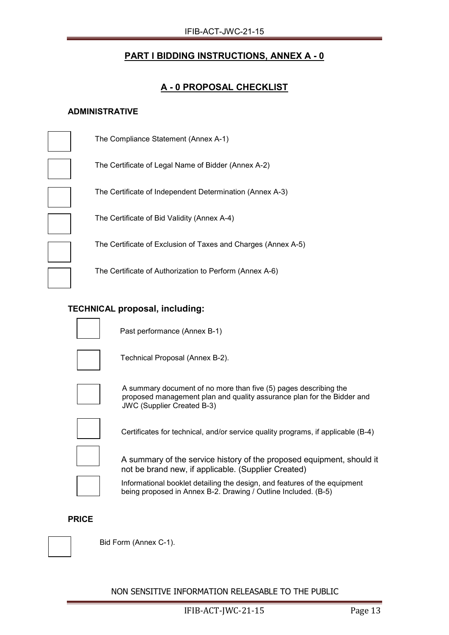# **A - 0 PROPOSAL CHECKLIST**

#### **ADMINISTRATIVE**

| The Compliance Statement (Annex A-1)                          |
|---------------------------------------------------------------|
| The Certificate of Legal Name of Bidder (Annex A-2)           |
| The Certificate of Independent Determination (Annex A-3)      |
| The Certificate of Bid Validity (Annex A-4)                   |
| The Certificate of Exclusion of Taxes and Charges (Annex A-5) |
| The Certificate of Authorization to Perform (Annex A-6)       |

#### **TECHNICAL proposal, including:**



Past performance (Annex B-1)



Technical Proposal (Annex B-2).



A summary document of no more than five (5) pages describing the proposed management plan and quality assurance plan for the Bidder and JWC (Supplier Created B-3)



Certificates for technical, and/or service quality programs, if applicable (B-4)



A summary of the service history of the proposed equipment, should it not be brand new, if applicable. (Supplier Created)

Informational booklet detailing the design, and features of the equipment being proposed in Annex B-2. Drawing / Outline Included. (B-5)

#### **PRICE**



Bid Form (Annex C-1).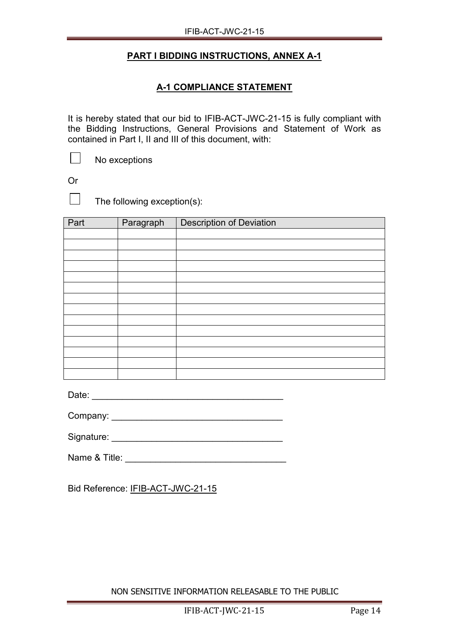# **A-1 COMPLIANCE STATEMENT**

It is hereby stated that our bid to IFIB-ACT-JWC-21-15 is fully compliant with the Bidding Instructions, General Provisions and Statement of Work as contained in Part I, II and III of this document, with:

No exceptions

Or

 $\Box$ 

The following exception(s):

| Part | Paragraph | <b>Description of Deviation</b> |
|------|-----------|---------------------------------|
|      |           |                                 |
|      |           |                                 |
|      |           |                                 |
|      |           |                                 |
|      |           |                                 |
|      |           |                                 |
|      |           |                                 |
|      |           |                                 |
|      |           |                                 |
|      |           |                                 |
|      |           |                                 |
|      |           |                                 |
|      |           |                                 |
|      |           |                                 |

| Date: |  |
|-------|--|
|       |  |

Company: \_\_\_\_\_\_\_\_\_\_\_\_\_\_\_\_\_\_\_\_\_\_\_\_\_\_\_\_\_\_\_\_\_\_

Signature: \_\_\_\_\_\_\_\_\_\_\_\_\_\_\_\_\_\_\_\_\_\_\_\_\_\_\_\_\_\_\_\_\_\_

| Name & Title: |  |
|---------------|--|
|               |  |

Bid Reference: IFIB-ACT-JWC-21-15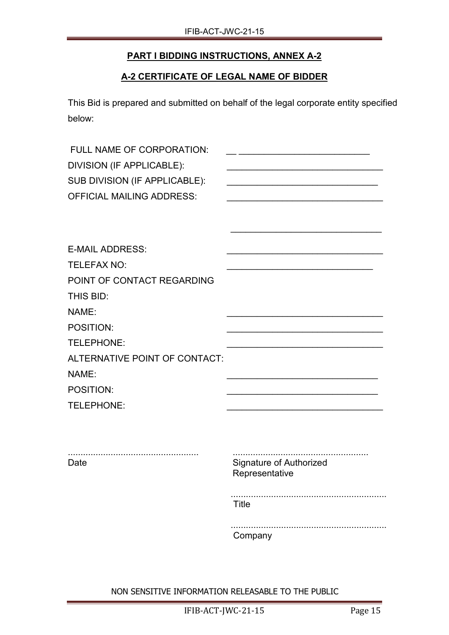# **A-2 CERTIFICATE OF LEGAL NAME OF BIDDER**

This Bid is prepared and submitted on behalf of the legal corporate entity specified below:

| FULL NAME OF CORPORATION:<br>DIVISION (IF APPLICABLE):<br>SUB DIVISION (IF APPLICABLE):<br><b>OFFICIAL MAILING ADDRESS:</b> |                                           |
|-----------------------------------------------------------------------------------------------------------------------------|-------------------------------------------|
|                                                                                                                             |                                           |
| <b>E-MAIL ADDRESS:</b>                                                                                                      |                                           |
| <b>TELEFAX NO:</b>                                                                                                          |                                           |
| POINT OF CONTACT REGARDING                                                                                                  |                                           |
| THIS BID:                                                                                                                   |                                           |
| NAME:                                                                                                                       |                                           |
| POSITION:                                                                                                                   |                                           |
| TELEPHONE:                                                                                                                  |                                           |
| ALTERNATIVE POINT OF CONTACT:                                                                                               |                                           |
| NAME:                                                                                                                       |                                           |
| POSITION:                                                                                                                   |                                           |
| TELEPHONE:                                                                                                                  |                                           |
|                                                                                                                             |                                           |
| Date                                                                                                                        | Signature of Authorized<br>Representative |
|                                                                                                                             | <b>Title</b>                              |
|                                                                                                                             | Company                                   |
|                                                                                                                             |                                           |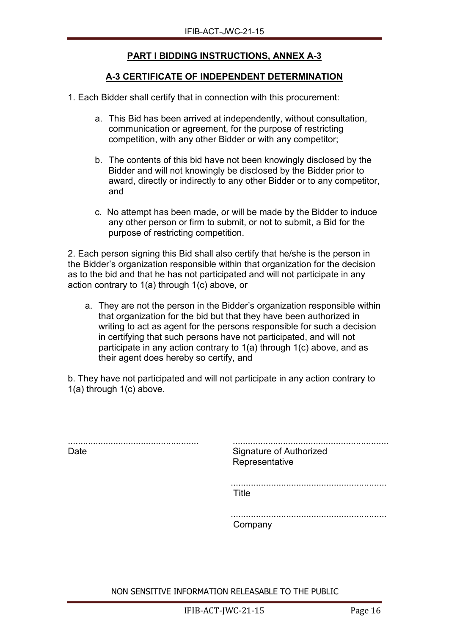# **A-3 CERTIFICATE OF INDEPENDENT DETERMINATION**

- 1. Each Bidder shall certify that in connection with this procurement:
	- a. This Bid has been arrived at independently, without consultation, communication or agreement, for the purpose of restricting competition, with any other Bidder or with any competitor;
	- b. The contents of this bid have not been knowingly disclosed by the Bidder and will not knowingly be disclosed by the Bidder prior to award, directly or indirectly to any other Bidder or to any competitor, and
	- c. No attempt has been made, or will be made by the Bidder to induce any other person or firm to submit, or not to submit, a Bid for the purpose of restricting competition.

2. Each person signing this Bid shall also certify that he/she is the person in the Bidder's organization responsible within that organization for the decision as to the bid and that he has not participated and will not participate in any action contrary to 1(a) through 1(c) above, or

a. They are not the person in the Bidder's organization responsible within that organization for the bid but that they have been authorized in writing to act as agent for the persons responsible for such a decision in certifying that such persons have not participated, and will not participate in any action contrary to 1(a) through 1(c) above, and as their agent does hereby so certify, and

b. They have not participated and will not participate in any action contrary to 1(a) through 1(c) above.

.................................................... Date

.............................................................. Signature of Authorized Representative

.............................................................. Title

..............................................................

Company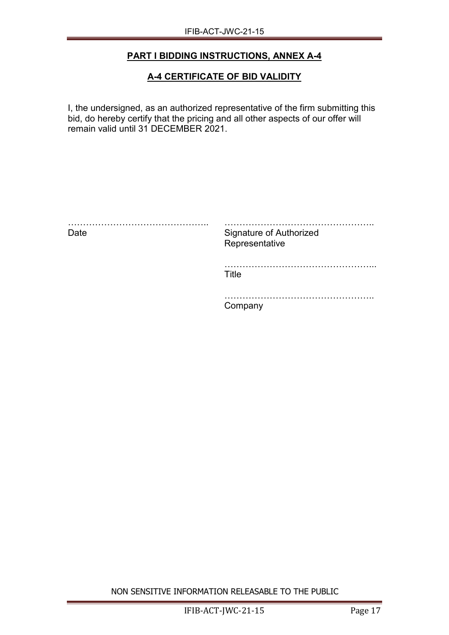# **A-4 CERTIFICATE OF BID VALIDITY**

I, the undersigned, as an authorized representative of the firm submitting this bid, do hereby certify that the pricing and all other aspects of our offer will remain valid until 31 DECEMBER 2021.

| Date | Signature of Authorized<br>Representative |
|------|-------------------------------------------|
|      | Title                                     |
|      | .<br>.                                    |

**Company**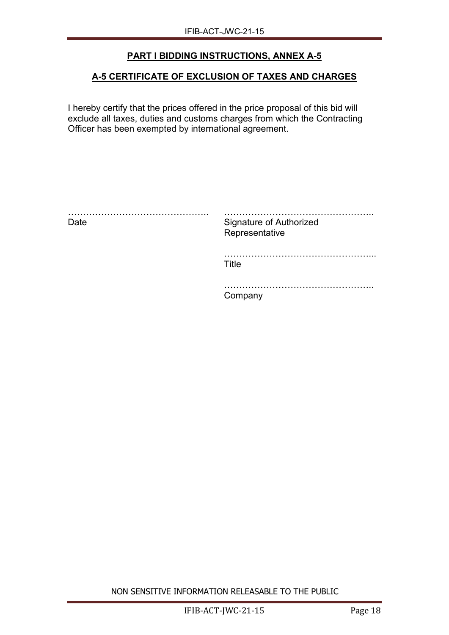# **A-5 CERTIFICATE OF EXCLUSION OF TAXES AND CHARGES**

I hereby certify that the prices offered in the price proposal of this bid will exclude all taxes, duties and customs charges from which the Contracting Officer has been exempted by international agreement.

| Date | Signature of Authorized<br>Representative |  |
|------|-------------------------------------------|--|
|      | Title                                     |  |
|      | Company                                   |  |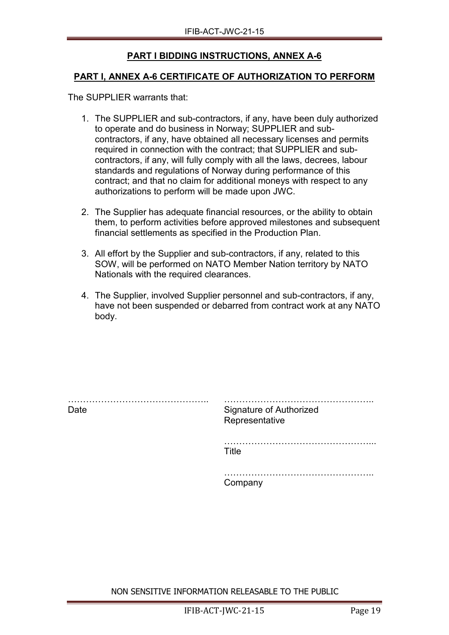# **PART I, ANNEX A-6 CERTIFICATE OF AUTHORIZATION TO PERFORM**

The SUPPLIER warrants that:

- 1. The SUPPLIER and sub-contractors, if any, have been duly authorized to operate and do business in Norway; SUPPLIER and subcontractors, if any, have obtained all necessary licenses and permits required in connection with the contract; that SUPPLIER and subcontractors, if any, will fully comply with all the laws, decrees, labour standards and regulations of Norway during performance of this contract; and that no claim for additional moneys with respect to any authorizations to perform will be made upon JWC.
- 2. The Supplier has adequate financial resources, or the ability to obtain them, to perform activities before approved milestones and subsequent financial settlements as specified in the Production Plan.
- 3. All effort by the Supplier and sub-contractors, if any, related to this SOW, will be performed on NATO Member Nation territory by NATO Nationals with the required clearances.
- 4. The Supplier, involved Supplier personnel and sub-contractors, if any, have not been suspended or debarred from contract work at any NATO body.

| Date | Signature of Authorized<br>Representative |
|------|-------------------------------------------|
|      | Title                                     |
|      | Company                                   |
|      |                                           |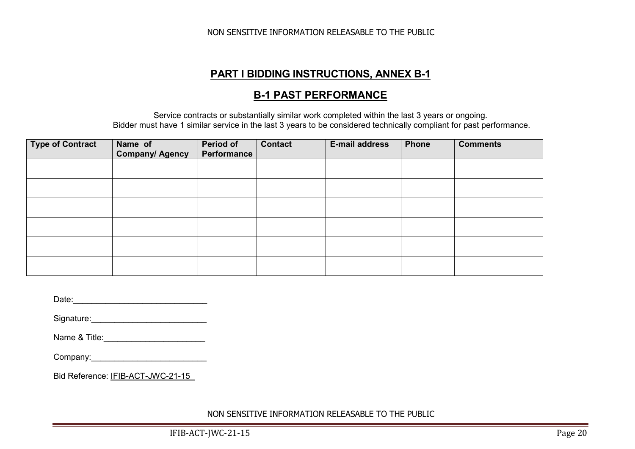NON SENSITIVE INFORMATION RELEASABLE TO THE PUBLIC

# **PART I BIDDING INSTRUCTIONS, ANNEX B-1**

# **B-1 PAST PERFORMANCE**

Service contracts or substantially similar work completed within the last 3 years or ongoing. Bidder must have 1 similar service in the last 3 years to be considered technically compliant for past performance.

| <b>Type of Contract</b> | Name of<br><b>Company/ Agency</b> | <b>Period of</b><br>Performance | <b>Contact</b> | <b>E-mail address</b> | <b>Phone</b> | <b>Comments</b> |
|-------------------------|-----------------------------------|---------------------------------|----------------|-----------------------|--------------|-----------------|
|                         |                                   |                                 |                |                       |              |                 |
|                         |                                   |                                 |                |                       |              |                 |
|                         |                                   |                                 |                |                       |              |                 |
|                         |                                   |                                 |                |                       |              |                 |
|                         |                                   |                                 |                |                       |              |                 |
|                         |                                   |                                 |                |                       |              |                 |

Date:\_\_\_\_\_\_\_\_\_\_\_\_\_\_\_\_\_\_\_\_\_\_\_\_\_\_\_\_\_

Signature:

| Name & Title: |  |
|---------------|--|
|               |  |

Company:\_\_\_\_\_\_\_\_\_\_\_\_\_\_\_\_\_\_\_\_\_\_\_\_\_

|--|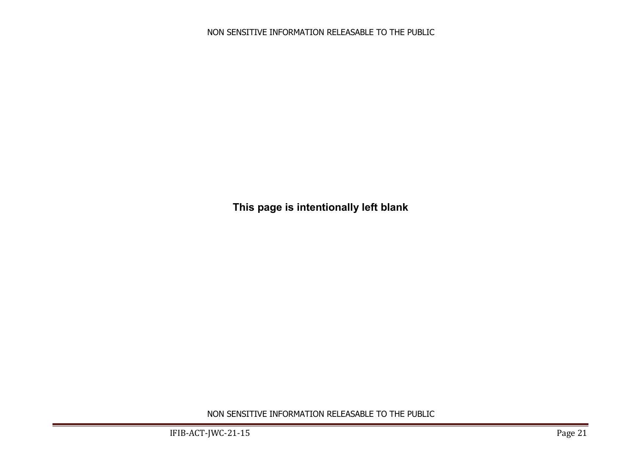**This page is intentionally left blank**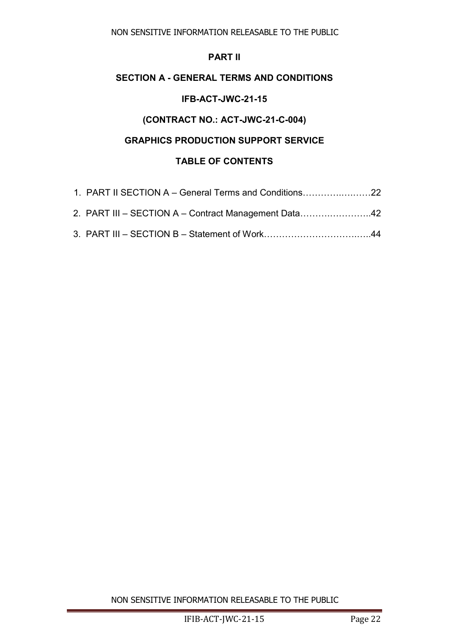NON SENSITIVE INFORMATION RELEASABLE TO THE PUBLIC

# **PART II**

# **SECTION A - GENERAL TERMS AND CONDITIONS**

# **IFB-ACT-JWC-21-15**

# **(CONTRACT NO.: ACT-JWC-21-C-004)**

# **GRAPHICS PRODUCTION SUPPORT SERVICE**

# **TABLE OF CONTENTS**

| 1. PART II SECTION A - General Terms and Conditions22 |  |
|-------------------------------------------------------|--|
| 2. PART III - SECTION A - Contract Management Data42  |  |
|                                                       |  |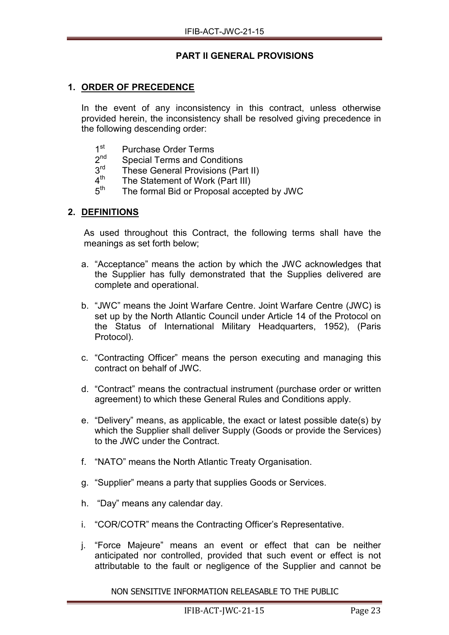# **PART II GENERAL PROVISIONS**

# **1. ORDER OF PRECEDENCE**

In the event of any inconsistency in this contract, unless otherwise provided herein, the inconsistency shall be resolved giving precedence in the following descending order:

- 1st Purchase Order Terms<br>2<sup>nd</sup> Special Terms and Con
- $2<sup>nd</sup>$  Special Terms and Conditions<br> $3<sup>rd</sup>$  These General Provisions (Bo)
- $3^{\text{rd}}$  These General Provisions (Part II)<br> $4^{\text{th}}$  The Statement of Work (Part III)
- $4<sup>th</sup>$  The Statement of Work (Part III)<br> $5<sup>th</sup>$  The formal Bid or Proposal accel
- The formal Bid or Proposal accepted by JWC

#### **2. DEFINITIONS**

As used throughout this Contract, the following terms shall have the meanings as set forth below;

- a. "Acceptance" means the action by which the JWC acknowledges that the Supplier has fully demonstrated that the Supplies delivered are complete and operational.
- b. "JWC" means the Joint Warfare Centre. Joint Warfare Centre (JWC) is set up by the North Atlantic Council under Article 14 of the Protocol on the Status of International Military Headquarters, 1952), (Paris Protocol).
- c. "Contracting Officer" means the person executing and managing this contract on behalf of JWC.
- d. "Contract" means the contractual instrument (purchase order or written agreement) to which these General Rules and Conditions apply.
- e. "Delivery" means, as applicable, the exact or latest possible date(s) by which the Supplier shall deliver Supply (Goods or provide the Services) to the JWC under the Contract.
- f. "NATO" means the North Atlantic Treaty Organisation.
- g. "Supplier" means a party that supplies Goods or Services.
- h. "Day" means any calendar day.
- i. "COR/COTR" means the Contracting Officer's Representative.
- j. "Force Majeure" means an event or effect that can be neither anticipated nor controlled, provided that such event or effect is not attributable to the fault or negligence of the Supplier and cannot be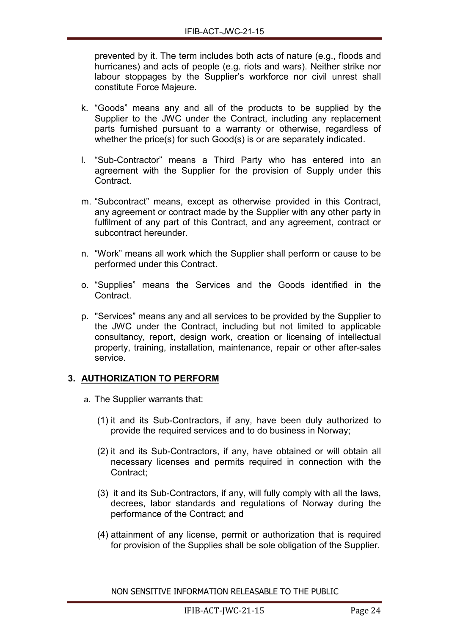prevented by it. The term includes both acts of nature (e.g., floods and hurricanes) and acts of people (e.g. riots and wars). Neither strike nor labour stoppages by the Supplier's workforce nor civil unrest shall constitute Force Majeure.

- k. "Goods" means any and all of the products to be supplied by the Supplier to the JWC under the Contract, including any replacement parts furnished pursuant to a warranty or otherwise, regardless of whether the price(s) for such Good(s) is or are separately indicated.
- l. "Sub-Contractor" means a Third Party who has entered into an agreement with the Supplier for the provision of Supply under this **Contract.**
- m. "Subcontract" means, except as otherwise provided in this Contract, any agreement or contract made by the Supplier with any other party in fulfilment of any part of this Contract, and any agreement, contract or subcontract hereunder.
- n. "Work" means all work which the Supplier shall perform or cause to be performed under this Contract.
- o. "Supplies" means the Services and the Goods identified in the Contract.
- p. "Services" means any and all services to be provided by the Supplier to the JWC under the Contract, including but not limited to applicable consultancy, report, design work, creation or licensing of intellectual property, training, installation, maintenance, repair or other after-sales service.

#### **3. AUTHORIZATION TO PERFORM**

- a. The Supplier warrants that:
	- (1) it and its Sub-Contractors, if any, have been duly authorized to provide the required services and to do business in Norway;
	- (2) it and its Sub-Contractors, if any, have obtained or will obtain all necessary licenses and permits required in connection with the Contract;
	- (3) it and its Sub-Contractors, if any, will fully comply with all the laws, decrees, labor standards and regulations of Norway during the performance of the Contract; and
	- (4) attainment of any license, permit or authorization that is required for provision of the Supplies shall be sole obligation of the Supplier.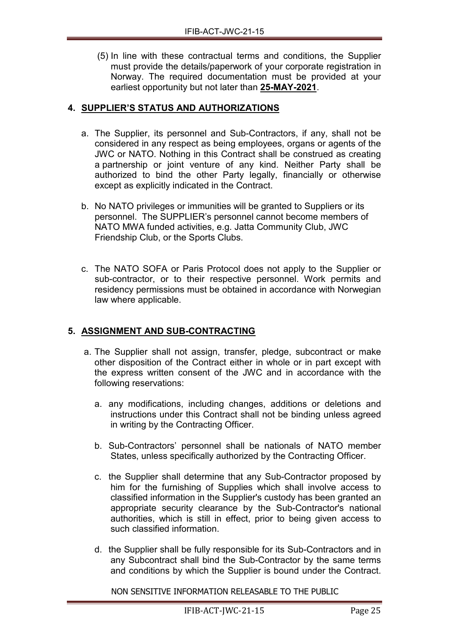(5) In line with these contractual terms and conditions, the Supplier must provide the details/paperwork of your corporate registration in Norway. The required documentation must be provided at your earliest opportunity but not later than **25-MAY-2021**.

# **4. SUPPLIER'S STATUS AND AUTHORIZATIONS**

- a. The Supplier, its personnel and Sub-Contractors, if any, shall not be considered in any respect as being employees, organs or agents of the JWC or NATO. Nothing in this Contract shall be construed as creating a partnership or joint venture of any kind. Neither Party shall be authorized to bind the other Party legally, financially or otherwise except as explicitly indicated in the Contract.
- b. No NATO privileges or immunities will be granted to Suppliers or its personnel. The SUPPLIER's personnel cannot become members of NATO MWA funded activities, e.g. Jatta Community Club, JWC Friendship Club, or the Sports Clubs.
- c. The NATO SOFA or Paris Protocol does not apply to the Supplier or sub-contractor, or to their respective personnel. Work permits and residency permissions must be obtained in accordance with Norwegian law where applicable.

# **5. ASSIGNMENT AND SUB-CONTRACTING**

- a. The Supplier shall not assign, transfer, pledge, subcontract or make other disposition of the Contract either in whole or in part except with the express written consent of the JWC and in accordance with the following reservations:
	- a. any modifications, including changes, additions or deletions and instructions under this Contract shall not be binding unless agreed in writing by the Contracting Officer.
	- b. Sub-Contractors' personnel shall be nationals of NATO member States, unless specifically authorized by the Contracting Officer.
	- c. the Supplier shall determine that any Sub-Contractor proposed by him for the furnishing of Supplies which shall involve access to classified information in the Supplier's custody has been granted an appropriate security clearance by the Sub-Contractor's national authorities, which is still in effect, prior to being given access to such classified information.
	- d. the Supplier shall be fully responsible for its Sub-Contractors and in any Subcontract shall bind the Sub-Contractor by the same terms and conditions by which the Supplier is bound under the Contract.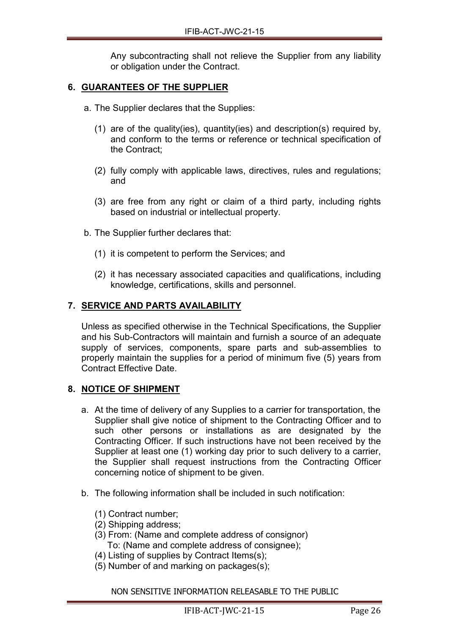Any subcontracting shall not relieve the Supplier from any liability or obligation under the Contract.

# **6. GUARANTEES OF THE SUPPLIER**

- a. The Supplier declares that the Supplies:
	- (1) are of the quality(ies), quantity(ies) and description(s) required by, and conform to the terms or reference or technical specification of the Contract;
	- (2) fully comply with applicable laws, directives, rules and regulations; and
	- (3) are free from any right or claim of a third party, including rights based on industrial or intellectual property.
- b. The Supplier further declares that:
	- (1) it is competent to perform the Services; and
	- (2) it has necessary associated capacities and qualifications, including knowledge, certifications, skills and personnel.

# **7. SERVICE AND PARTS AVAILABILITY**

Unless as specified otherwise in the Technical Specifications, the Supplier and his Sub-Contractors will maintain and furnish a source of an adequate supply of services, components, spare parts and sub-assemblies to properly maintain the supplies for a period of minimum five (5) years from Contract Effective Date.

# **8. NOTICE OF SHIPMENT**

- a. At the time of delivery of any Supplies to a carrier for transportation, the Supplier shall give notice of shipment to the Contracting Officer and to such other persons or installations as are designated by the Contracting Officer. If such instructions have not been received by the Supplier at least one (1) working day prior to such delivery to a carrier, the Supplier shall request instructions from the Contracting Officer concerning notice of shipment to be given.
- b. The following information shall be included in such notification:
	- (1) Contract number;
	- (2) Shipping address;
	- (3) From: (Name and complete address of consignor) To: (Name and complete address of consignee);
	- (4) Listing of supplies by Contract Items(s);
	- (5) Number of and marking on packages(s);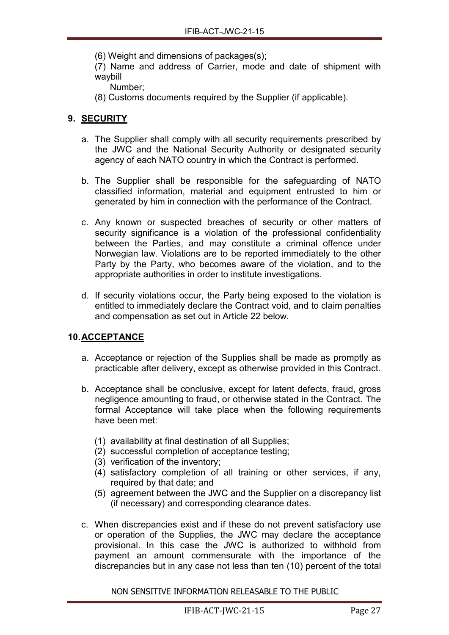(6) Weight and dimensions of packages(s);

(7) Name and address of Carrier, mode and date of shipment with waybill

- Number;
- (8) Customs documents required by the Supplier (if applicable).

# **9. SECURITY**

- a. The Supplier shall comply with all security requirements prescribed by the JWC and the National Security Authority or designated security agency of each NATO country in which the Contract is performed.
- b. The Supplier shall be responsible for the safeguarding of NATO classified information, material and equipment entrusted to him or generated by him in connection with the performance of the Contract.
- c. Any known or suspected breaches of security or other matters of security significance is a violation of the professional confidentiality between the Parties, and may constitute a criminal offence under Norwegian law. Violations are to be reported immediately to the other Party by the Party, who becomes aware of the violation, and to the appropriate authorities in order to institute investigations.
- d. If security violations occur, the Party being exposed to the violation is entitled to immediately declare the Contract void, and to claim penalties and compensation as set out in Article 22 below.

# **10.ACCEPTANCE**

- a. Acceptance or rejection of the Supplies shall be made as promptly as practicable after delivery, except as otherwise provided in this Contract.
- b. Acceptance shall be conclusive, except for latent defects, fraud, gross negligence amounting to fraud, or otherwise stated in the Contract. The formal Acceptance will take place when the following requirements have been met:
	- (1) availability at final destination of all Supplies;
	- (2) successful completion of acceptance testing;
	- (3) verification of the inventory;
	- (4) satisfactory completion of all training or other services, if any, required by that date; and
	- (5) agreement between the JWC and the Supplier on a discrepancy list (if necessary) and corresponding clearance dates.
- c. When discrepancies exist and if these do not prevent satisfactory use or operation of the Supplies, the JWC may declare the acceptance provisional. In this case the JWC is authorized to withhold from payment an amount commensurate with the importance of the discrepancies but in any case not less than ten (10) percent of the total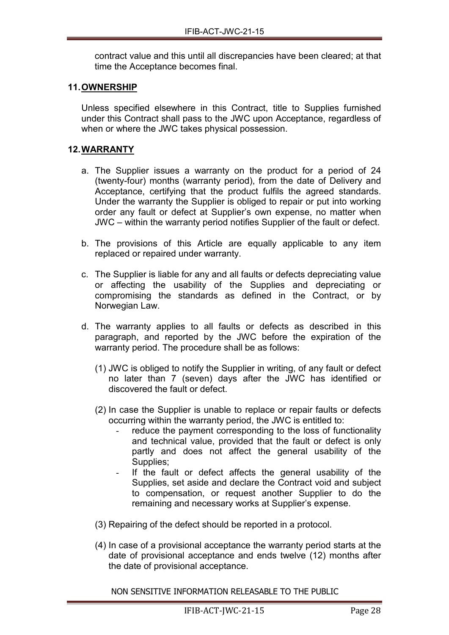contract value and this until all discrepancies have been cleared; at that time the Acceptance becomes final.

#### **11.OWNERSHIP**

Unless specified elsewhere in this Contract, title to Supplies furnished under this Contract shall pass to the JWC upon Acceptance, regardless of when or where the JWC takes physical possession.

#### **12.WARRANTY**

- a. The Supplier issues a warranty on the product for a period of 24 (twenty-four) months (warranty period), from the date of Delivery and Acceptance, certifying that the product fulfils the agreed standards. Under the warranty the Supplier is obliged to repair or put into working order any fault or defect at Supplier's own expense, no matter when JWC – within the warranty period notifies Supplier of the fault or defect.
- b. The provisions of this Article are equally applicable to any item replaced or repaired under warranty.
- c. The Supplier is liable for any and all faults or defects depreciating value or affecting the usability of the Supplies and depreciating or compromising the standards as defined in the Contract, or by Norwegian Law.
- d. The warranty applies to all faults or defects as described in this paragraph, and reported by the JWC before the expiration of the warranty period. The procedure shall be as follows:
	- (1) JWC is obliged to notify the Supplier in writing, of any fault or defect no later than 7 (seven) days after the JWC has identified or discovered the fault or defect.
	- (2) In case the Supplier is unable to replace or repair faults or defects occurring within the warranty period, the JWC is entitled to:
		- reduce the payment corresponding to the loss of functionality and technical value, provided that the fault or defect is only partly and does not affect the general usability of the Supplies;
		- If the fault or defect affects the general usability of the Supplies, set aside and declare the Contract void and subject to compensation, or request another Supplier to do the remaining and necessary works at Supplier's expense.
	- (3) Repairing of the defect should be reported in a protocol.
	- (4) In case of a provisional acceptance the warranty period starts at the date of provisional acceptance and ends twelve (12) months after the date of provisional acceptance.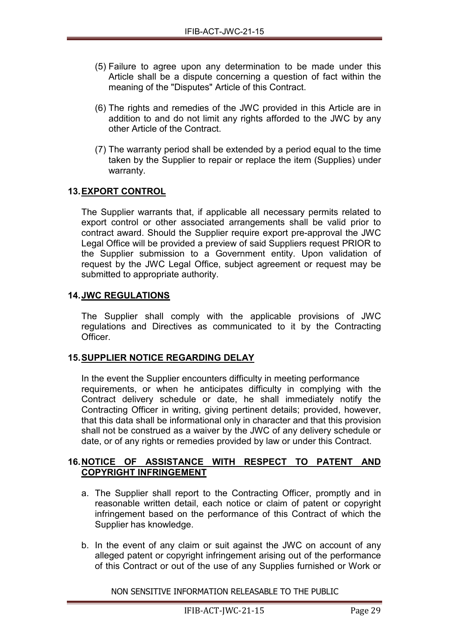- (5) Failure to agree upon any determination to be made under this Article shall be a dispute concerning a question of fact within the meaning of the "Disputes" Article of this Contract.
- (6) The rights and remedies of the JWC provided in this Article are in addition to and do not limit any rights afforded to the JWC by any other Article of the Contract.
- (7) The warranty period shall be extended by a period equal to the time taken by the Supplier to repair or replace the item (Supplies) under warranty.

# **13.EXPORT CONTROL**

The Supplier warrants that, if applicable all necessary permits related to export control or other associated arrangements shall be valid prior to contract award. Should the Supplier require export pre-approval the JWC Legal Office will be provided a preview of said Suppliers request PRIOR to the Supplier submission to a Government entity. Upon validation of request by the JWC Legal Office, subject agreement or request may be submitted to appropriate authority.

#### **14.JWC REGULATIONS**

The Supplier shall comply with the applicable provisions of JWC regulations and Directives as communicated to it by the Contracting Officer.

#### **15.SUPPLIER NOTICE REGARDING DELAY**

In the event the Supplier encounters difficulty in meeting performance requirements, or when he anticipates difficulty in complying with the Contract delivery schedule or date, he shall immediately notify the Contracting Officer in writing, giving pertinent details; provided, however, that this data shall be informational only in character and that this provision shall not be construed as a waiver by the JWC of any delivery schedule or date, or of any rights or remedies provided by law or under this Contract.

#### **16.NOTICE OF ASSISTANCE WITH RESPECT TO PATENT AND COPYRIGHT INFRINGEMENT**

- a. The Supplier shall report to the Contracting Officer, promptly and in reasonable written detail, each notice or claim of patent or copyright infringement based on the performance of this Contract of which the Supplier has knowledge.
- b. In the event of any claim or suit against the JWC on account of any alleged patent or copyright infringement arising out of the performance of this Contract or out of the use of any Supplies furnished or Work or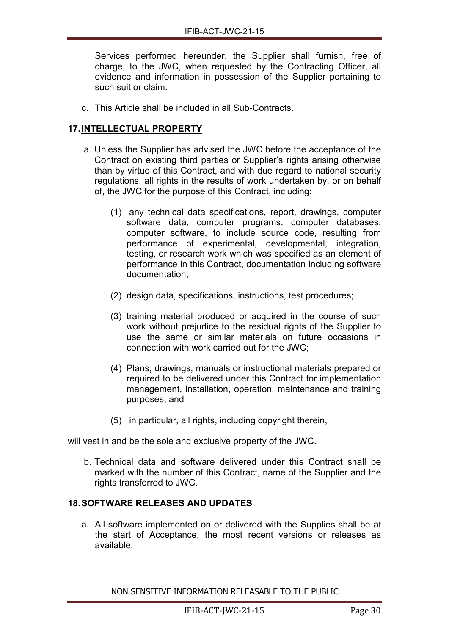Services performed hereunder, the Supplier shall furnish, free of charge, to the JWC, when requested by the Contracting Officer, all evidence and information in possession of the Supplier pertaining to such suit or claim.

c. This Article shall be included in all Sub-Contracts.

#### **17.INTELLECTUAL PROPERTY**

- a. Unless the Supplier has advised the JWC before the acceptance of the Contract on existing third parties or Supplier's rights arising otherwise than by virtue of this Contract, and with due regard to national security regulations, all rights in the results of work undertaken by, or on behalf of, the JWC for the purpose of this Contract, including:
	- (1) any technical data specifications, report, drawings, computer software data, computer programs, computer databases, computer software, to include source code, resulting from performance of experimental, developmental, integration, testing, or research work which was specified as an element of performance in this Contract, documentation including software documentation;
	- (2) design data, specifications, instructions, test procedures;
	- (3) training material produced or acquired in the course of such work without prejudice to the residual rights of the Supplier to use the same or similar materials on future occasions in connection with work carried out for the JWC;
	- (4) Plans, drawings, manuals or instructional materials prepared or required to be delivered under this Contract for implementation management, installation, operation, maintenance and training purposes; and
	- (5) in particular, all rights, including copyright therein,

will vest in and be the sole and exclusive property of the JWC.

b. Technical data and software delivered under this Contract shall be marked with the number of this Contract, name of the Supplier and the rights transferred to JWC.

#### **18.SOFTWARE RELEASES AND UPDATES**

a. All software implemented on or delivered with the Supplies shall be at the start of Acceptance, the most recent versions or releases as available.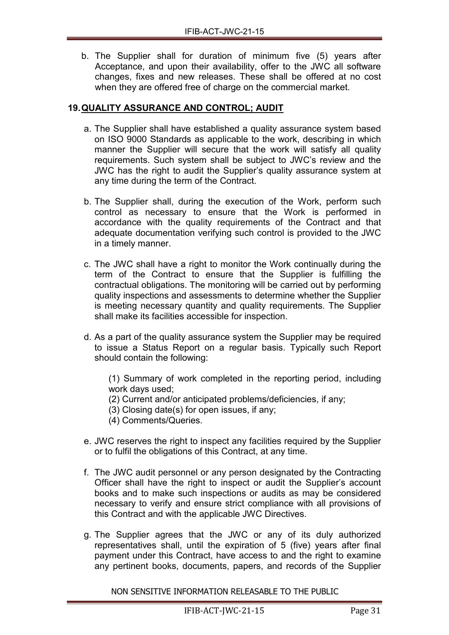b. The Supplier shall for duration of minimum five (5) years after Acceptance, and upon their availability, offer to the JWC all software changes, fixes and new releases. These shall be offered at no cost when they are offered free of charge on the commercial market.

# **19.QUALITY ASSURANCE AND CONTROL; AUDIT**

- a. The Supplier shall have established a quality assurance system based on ISO 9000 Standards as applicable to the work, describing in which manner the Supplier will secure that the work will satisfy all quality requirements. Such system shall be subject to JWC's review and the JWC has the right to audit the Supplier's quality assurance system at any time during the term of the Contract.
- b. The Supplier shall, during the execution of the Work, perform such control as necessary to ensure that the Work is performed in accordance with the quality requirements of the Contract and that adequate documentation verifying such control is provided to the JWC in a timely manner.
- c. The JWC shall have a right to monitor the Work continually during the term of the Contract to ensure that the Supplier is fulfilling the contractual obligations. The monitoring will be carried out by performing quality inspections and assessments to determine whether the Supplier is meeting necessary quantity and quality requirements. The Supplier shall make its facilities accessible for inspection.
- d. As a part of the quality assurance system the Supplier may be required to issue a Status Report on a regular basis. Typically such Report should contain the following:

(1) Summary of work completed in the reporting period, including work days used;

- (2) Current and/or anticipated problems/deficiencies, if any;
- (3) Closing date(s) for open issues, if any;
- (4) Comments/Queries.
- e. JWC reserves the right to inspect any facilities required by the Supplier or to fulfil the obligations of this Contract, at any time.
- f. The JWC audit personnel or any person designated by the Contracting Officer shall have the right to inspect or audit the Supplier's account books and to make such inspections or audits as may be considered necessary to verify and ensure strict compliance with all provisions of this Contract and with the applicable JWC Directives.
- g. The Supplier agrees that the JWC or any of its duly authorized representatives shall, until the expiration of 5 (five) years after final payment under this Contract, have access to and the right to examine any pertinent books, documents, papers, and records of the Supplier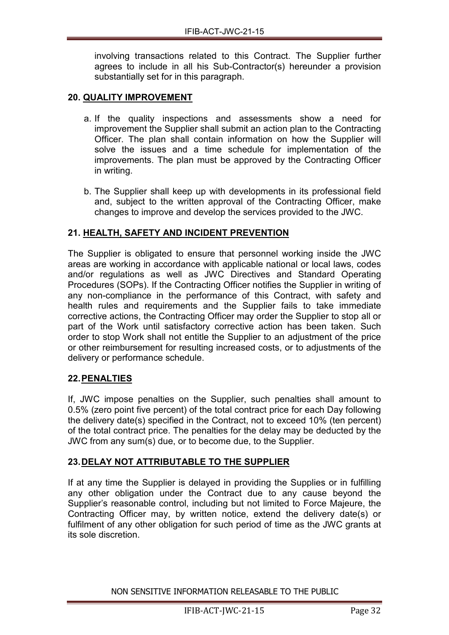involving transactions related to this Contract. The Supplier further agrees to include in all his Sub-Contractor(s) hereunder a provision substantially set for in this paragraph.

#### **20. QUALITY IMPROVEMENT**

- a. If the quality inspections and assessments show a need for improvement the Supplier shall submit an action plan to the Contracting Officer. The plan shall contain information on how the Supplier will solve the issues and a time schedule for implementation of the improvements. The plan must be approved by the Contracting Officer in writing.
- b. The Supplier shall keep up with developments in its professional field and, subject to the written approval of the Contracting Officer, make changes to improve and develop the services provided to the JWC.

# **21. HEALTH, SAFETY AND INCIDENT PREVENTION**

The Supplier is obligated to ensure that personnel working inside the JWC areas are working in accordance with applicable national or local laws, codes and/or regulations as well as JWC Directives and Standard Operating Procedures (SOPs). If the Contracting Officer notifies the Supplier in writing of any non-compliance in the performance of this Contract, with safety and health rules and requirements and the Supplier fails to take immediate corrective actions, the Contracting Officer may order the Supplier to stop all or part of the Work until satisfactory corrective action has been taken. Such order to stop Work shall not entitle the Supplier to an adjustment of the price or other reimbursement for resulting increased costs, or to adjustments of the delivery or performance schedule.

#### <span id="page-34-0"></span>**22.PENALTIES**

If, JWC impose penalties on the Supplier, such penalties shall amount to 0.5% (zero point five percent) of the total contract price for each Day following the delivery date(s) specified in the Contract, not to exceed 10% (ten percent) of the total contract price. The penalties for the delay may be deducted by the JWC from any sum(s) due, or to become due, to the Supplier.

#### **23.DELAY NOT ATTRIBUTABLE TO THE SUPPLIER**

If at any time the Supplier is delayed in providing the Supplies or in fulfilling any other obligation under the Contract due to any cause beyond the Supplier's reasonable control, including but not limited to Force Majeure, the Contracting Officer may, by written notice, extend the delivery date(s) or fulfilment of any other obligation for such period of time as the JWC grants at its sole discretion.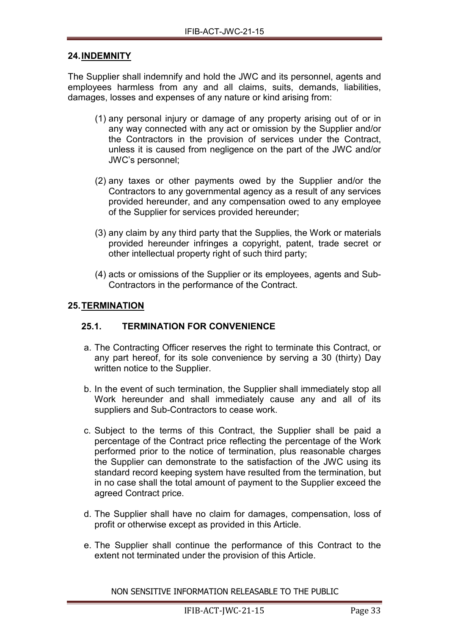# **24.INDEMNITY**

The Supplier shall indemnify and hold the JWC and its personnel, agents and employees harmless from any and all claims, suits, demands, liabilities, damages, losses and expenses of any nature or kind arising from:

- (1) any personal injury or damage of any property arising out of or in any way connected with any act or omission by the Supplier and/or the Contractors in the provision of services under the Contract, unless it is caused from negligence on the part of the JWC and/or JWC's personnel;
- (2) any taxes or other payments owed by the Supplier and/or the Contractors to any governmental agency as a result of any services provided hereunder, and any compensation owed to any employee of the Supplier for services provided hereunder;
- (3) any claim by any third party that the Supplies, the Work or materials provided hereunder infringes a copyright, patent, trade secret or other intellectual property right of such third party;
- (4) acts or omissions of the Supplier or its employees, agents and Sub-Contractors in the performance of the Contract.

#### **25.TERMINATION**

# **25.1. TERMINATION FOR CONVENIENCE**

- a. The Contracting Officer reserves the right to terminate this Contract, or any part hereof, for its sole convenience by serving a 30 (thirty) Day written notice to the Supplier.
- b. In the event of such termination, the Supplier shall immediately stop all Work hereunder and shall immediately cause any and all of its suppliers and Sub-Contractors to cease work.
- c. Subject to the terms of this Contract, the Supplier shall be paid a percentage of the Contract price reflecting the percentage of the Work performed prior to the notice of termination, plus reasonable charges the Supplier can demonstrate to the satisfaction of the JWC using its standard record keeping system have resulted from the termination, but in no case shall the total amount of payment to the Supplier exceed the agreed Contract price.
- d. The Supplier shall have no claim for damages, compensation, loss of profit or otherwise except as provided in this Article.
- e. The Supplier shall continue the performance of this Contract to the extent not terminated under the provision of this Article.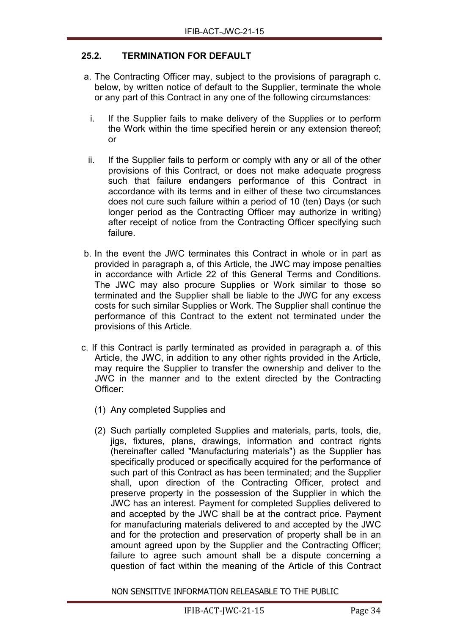# **25.2. TERMINATION FOR DEFAULT**

- a. The Contracting Officer may, subject to the provisions of paragraph c. below, by written notice of default to the Supplier, terminate the whole or any part of this Contract in any one of the following circumstances:
	- i. If the Supplier fails to make delivery of the Supplies or to perform the Work within the time specified herein or any extension thereof; or
- ii. If the Supplier fails to perform or comply with any or all of the other provisions of this Contract, or does not make adequate progress such that failure endangers performance of this Contract in accordance with its terms and in either of these two circumstances does not cure such failure within a period of 10 (ten) Days (or such longer period as the Contracting Officer may authorize in writing) after receipt of notice from the Contracting Officer specifying such failure.
- b. In the event the JWC terminates this Contract in whole or in part as provided in paragraph a, of this Article, the JWC may impose penalties in accordance with Article [22](#page-34-0) of this General Terms and Conditions. The JWC may also procure Supplies or Work similar to those so terminated and the Supplier shall be liable to the JWC for any excess costs for such similar Supplies or Work. The Supplier shall continue the performance of this Contract to the extent not terminated under the provisions of this Article.
- c. If this Contract is partly terminated as provided in paragraph a. of this Article, the JWC, in addition to any other rights provided in the Article, may require the Supplier to transfer the ownership and deliver to the JWC in the manner and to the extent directed by the Contracting Officer:
	- (1) Any completed Supplies and
	- (2) Such partially completed Supplies and materials, parts, tools, die, jigs, fixtures, plans, drawings, information and contract rights (hereinafter called "Manufacturing materials") as the Supplier has specifically produced or specifically acquired for the performance of such part of this Contract as has been terminated; and the Supplier shall, upon direction of the Contracting Officer, protect and preserve property in the possession of the Supplier in which the JWC has an interest. Payment for completed Supplies delivered to and accepted by the JWC shall be at the contract price. Payment for manufacturing materials delivered to and accepted by the JWC and for the protection and preservation of property shall be in an amount agreed upon by the Supplier and the Contracting Officer; failure to agree such amount shall be a dispute concerning a question of fact within the meaning of the Article of this Contract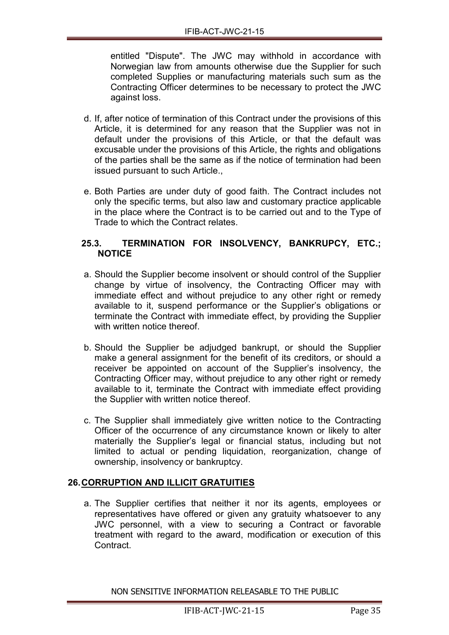entitled "Dispute". The JWC may withhold in accordance with Norwegian law from amounts otherwise due the Supplier for such completed Supplies or manufacturing materials such sum as the Contracting Officer determines to be necessary to protect the JWC against loss.

- d. If, after notice of termination of this Contract under the provisions of this Article, it is determined for any reason that the Supplier was not in default under the provisions of this Article, or that the default was excusable under the provisions of this Article, the rights and obligations of the parties shall be the same as if the notice of termination had been issued pursuant to such Article.,
- e. Both Parties are under duty of good faith. The Contract includes not only the specific terms, but also law and customary practice applicable in the place where the Contract is to be carried out and to the Type of Trade to which the Contract relates.

# **25.3. TERMINATION FOR INSOLVENCY, BANKRUPCY, ETC.; NOTICE**

- a. Should the Supplier become insolvent or should control of the Supplier change by virtue of insolvency, the Contracting Officer may with immediate effect and without prejudice to any other right or remedy available to it, suspend performance or the Supplier's obligations or terminate the Contract with immediate effect, by providing the Supplier with written notice thereof.
- b. Should the Supplier be adjudged bankrupt, or should the Supplier make a general assignment for the benefit of its creditors, or should a receiver be appointed on account of the Supplier's insolvency, the Contracting Officer may, without prejudice to any other right or remedy available to it, terminate the Contract with immediate effect providing the Supplier with written notice thereof.
- c. The Supplier shall immediately give written notice to the Contracting Officer of the occurrence of any circumstance known or likely to alter materially the Supplier's legal or financial status, including but not limited to actual or pending liquidation, reorganization, change of ownership, insolvency or bankruptcy.

# **26.CORRUPTION AND ILLICIT GRATUITIES**

a. The Supplier certifies that neither it nor its agents, employees or representatives have offered or given any gratuity whatsoever to any JWC personnel, with a view to securing a Contract or favorable treatment with regard to the award, modification or execution of this Contract.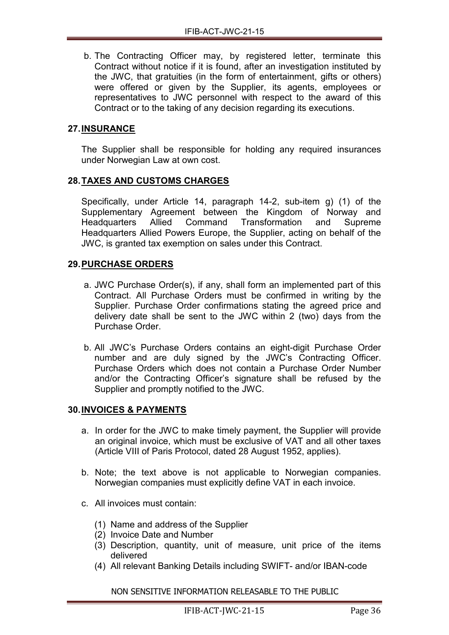b. The Contracting Officer may, by registered letter, terminate this Contract without notice if it is found, after an investigation instituted by the JWC, that gratuities (in the form of entertainment, gifts or others) were offered or given by the Supplier, its agents, employees or representatives to JWC personnel with respect to the award of this Contract or to the taking of any decision regarding its executions.

# **27.INSURANCE**

The Supplier shall be responsible for holding any required insurances under Norwegian Law at own cost.

#### **28.TAXES AND CUSTOMS CHARGES**

Specifically, under Article 14, paragraph 14-2, sub-item g) (1) of the Supplementary Agreement between the Kingdom of Norway and Headquarters Allied Command Transformation and Supreme Headquarters Allied Powers Europe, the Supplier, acting on behalf of the JWC, is granted tax exemption on sales under this Contract.

#### **29.PURCHASE ORDERS**

- a. JWC Purchase Order(s), if any, shall form an implemented part of this Contract. All Purchase Orders must be confirmed in writing by the Supplier. Purchase Order confirmations stating the agreed price and delivery date shall be sent to the JWC within 2 (two) days from the Purchase Order.
- b. All JWC's Purchase Orders contains an eight-digit Purchase Order number and are duly signed by the JWC's Contracting Officer. Purchase Orders which does not contain a Purchase Order Number and/or the Contracting Officer's signature shall be refused by the Supplier and promptly notified to the JWC.

#### **30.INVOICES & PAYMENTS**

- a. In order for the JWC to make timely payment, the Supplier will provide an original invoice, which must be exclusive of VAT and all other taxes (Article VIII of Paris Protocol, dated 28 August 1952, applies).
- b. Note; the text above is not applicable to Norwegian companies. Norwegian companies must explicitly define VAT in each invoice.
- c. All invoices must contain:
	- (1) Name and address of the Supplier
	- (2) Invoice Date and Number
	- (3) Description, quantity, unit of measure, unit price of the items delivered
	- (4) All relevant Banking Details including SWIFT- and/or IBAN-code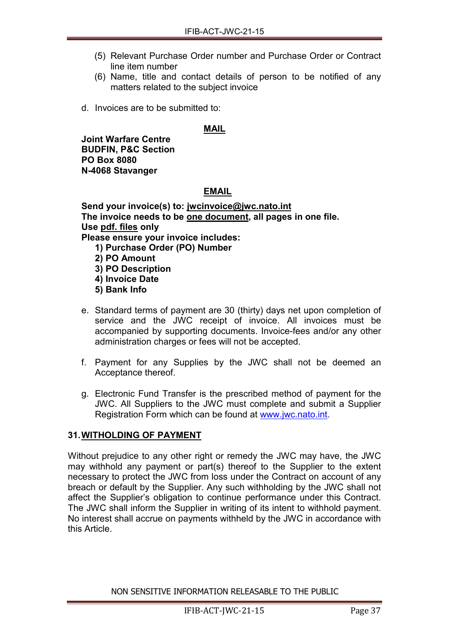- (5) Relevant Purchase Order number and Purchase Order or Contract line item number
- (6) Name, title and contact details of person to be notified of any matters related to the subject invoice
- d. Invoices are to be submitted to:

#### **MAIL**

**Joint Warfare Centre BUDFIN, P&C Section PO Box 8080 N-4068 Stavanger**

#### **EMAIL**

**Send your invoice(s) to: jw[cinvoice@jwc.nato.int](mailto:invoice@jwc.nato.int) The invoice needs to be one document, all pages in one file. Use pdf. files only Please ensure your invoice includes: 1) Purchase Order (PO) Number**

- **2) PO Amount**
- **3) PO Description**
- **4) Invoice Date**
- **5) Bank Info**
- e. Standard terms of payment are 30 (thirty) days net upon completion of service and the JWC receipt of invoice. All invoices must be accompanied by supporting documents. Invoice-fees and/or any other administration charges or fees will not be accepted.
- f. Payment for any Supplies by the JWC shall not be deemed an Acceptance thereof.
- g. Electronic Fund Transfer is the prescribed method of payment for the JWC. All Suppliers to the JWC must complete and submit a Supplier Registration Form which can be found at [www.jwc.nato.int.](http://www.jwc.nato.int/)

#### **31.WITHOLDING OF PAYMENT**

Without prejudice to any other right or remedy the JWC may have, the JWC may withhold any payment or part(s) thereof to the Supplier to the extent necessary to protect the JWC from loss under the Contract on account of any breach or default by the Supplier. Any such withholding by the JWC shall not affect the Supplier's obligation to continue performance under this Contract. The JWC shall inform the Supplier in writing of its intent to withhold payment. No interest shall accrue on payments withheld by the JWC in accordance with this Article.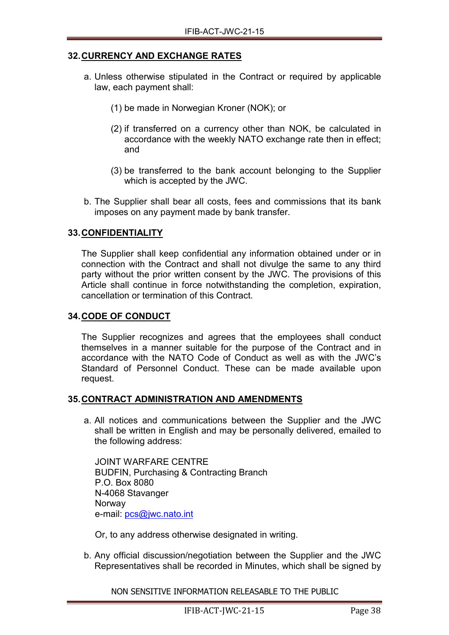# **32.CURRENCY AND EXCHANGE RATES**

- a. Unless otherwise stipulated in the Contract or required by applicable law, each payment shall:
	- (1) be made in Norwegian Kroner (NOK); or
	- (2) if transferred on a currency other than NOK, be calculated in accordance with the weekly NATO exchange rate then in effect; and
	- (3) be transferred to the bank account belonging to the Supplier which is accepted by the JWC.
- b. The Supplier shall bear all costs, fees and commissions that its bank imposes on any payment made by bank transfer.

# **33.CONFIDENTIALITY**

The Supplier shall keep confidential any information obtained under or in connection with the Contract and shall not divulge the same to any third party without the prior written consent by the JWC. The provisions of this Article shall continue in force notwithstanding the completion, expiration, cancellation or termination of this Contract.

# **34.CODE OF CONDUCT**

The Supplier recognizes and agrees that the employees shall conduct themselves in a manner suitable for the purpose of the Contract and in accordance with the NATO Code of Conduct as well as with the JWC's Standard of Personnel Conduct. These can be made available upon request.

#### **35.CONTRACT ADMINISTRATION AND AMENDMENTS**

a. All notices and communications between the Supplier and the JWC shall be written in English and may be personally delivered, emailed to the following address:

JOINT WARFARE CENTRE BUDFIN, Purchasing & Contracting Branch P.O. Box 8080 N-4068 Stavanger Norway e-mail: [pcs@jwc.nato.int](mailto:pcs@jwc.nato.int)

Or, to any address otherwise designated in writing.

b. Any official discussion/negotiation between the Supplier and the JWC Representatives shall be recorded in Minutes, which shall be signed by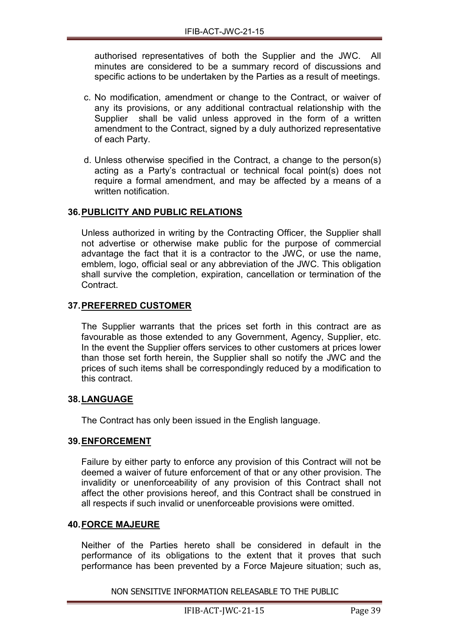authorised representatives of both the Supplier and the JWC. All minutes are considered to be a summary record of discussions and specific actions to be undertaken by the Parties as a result of meetings.

- c. No modification, amendment or change to the Contract, or waiver of any its provisions, or any additional contractual relationship with the Supplier shall be valid unless approved in the form of a written amendment to the Contract, signed by a duly authorized representative of each Party.
- d. Unless otherwise specified in the Contract, a change to the person(s) acting as a Party's contractual or technical focal point(s) does not require a formal amendment, and may be affected by a means of a written notification

# **36.PUBLICITY AND PUBLIC RELATIONS**

Unless authorized in writing by the Contracting Officer, the Supplier shall not advertise or otherwise make public for the purpose of commercial advantage the fact that it is a contractor to the JWC, or use the name, emblem, logo, official seal or any abbreviation of the JWC. This obligation shall survive the completion, expiration, cancellation or termination of the Contract.

#### **37.PREFERRED CUSTOMER**

The Supplier warrants that the prices set forth in this contract are as favourable as those extended to any Government, Agency, Supplier, etc. In the event the Supplier offers services to other customers at prices lower than those set forth herein, the Supplier shall so notify the JWC and the prices of such items shall be correspondingly reduced by a modification to this contract.

#### **38.LANGUAGE**

The Contract has only been issued in the English language.

#### **39.ENFORCEMENT**

Failure by either party to enforce any provision of this Contract will not be deemed a waiver of future enforcement of that or any other provision. The invalidity or unenforceability of any provision of this Contract shall not affect the other provisions hereof, and this Contract shall be construed in all respects if such invalid or unenforceable provisions were omitted.

#### **40.FORCE MAJEURE**

Neither of the Parties hereto shall be considered in default in the performance of its obligations to the extent that it proves that such performance has been prevented by a Force Majeure situation; such as,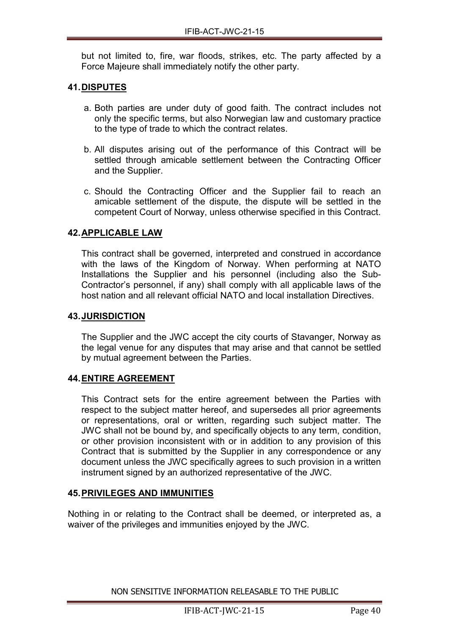but not limited to, fire, war floods, strikes, etc. The party affected by a Force Majeure shall immediately notify the other party.

#### **41.DISPUTES**

- a. Both parties are under duty of good faith. The contract includes not only the specific terms, but also Norwegian law and customary practice to the type of trade to which the contract relates.
- b. All disputes arising out of the performance of this Contract will be settled through amicable settlement between the Contracting Officer and the Supplier.
- c. Should the Contracting Officer and the Supplier fail to reach an amicable settlement of the dispute, the dispute will be settled in the competent Court of Norway, unless otherwise specified in this Contract.

#### **42.APPLICABLE LAW**

This contract shall be governed, interpreted and construed in accordance with the laws of the Kingdom of Norway. When performing at NATO Installations the Supplier and his personnel (including also the Sub-Contractor's personnel, if any) shall comply with all applicable laws of the host nation and all relevant official NATO and local installation Directives.

#### **43.JURISDICTION**

The Supplier and the JWC accept the city courts of Stavanger, Norway as the legal venue for any disputes that may arise and that cannot be settled by mutual agreement between the Parties.

#### **44.ENTIRE AGREEMENT**

This Contract sets for the entire agreement between the Parties with respect to the subject matter hereof, and supersedes all prior agreements or representations, oral or written, regarding such subject matter. The JWC shall not be bound by, and specifically objects to any term, condition, or other provision inconsistent with or in addition to any provision of this Contract that is submitted by the Supplier in any correspondence or any document unless the JWC specifically agrees to such provision in a written instrument signed by an authorized representative of the JWC.

# **45.PRIVILEGES AND IMMUNITIES**

Nothing in or relating to the Contract shall be deemed, or interpreted as, a waiver of the privileges and immunities enjoyed by the JWC.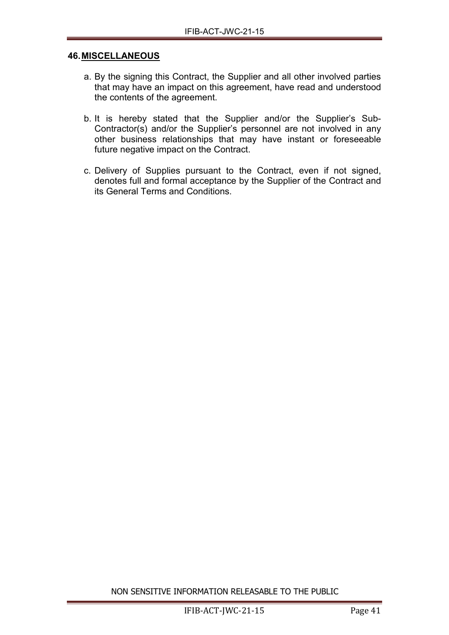#### **46.MISCELLANEOUS**

- a. By the signing this Contract, the Supplier and all other involved parties that may have an impact on this agreement, have read and understood the contents of the agreement.
- b. It is hereby stated that the Supplier and/or the Supplier's Sub-Contractor(s) and/or the Supplier's personnel are not involved in any other business relationships that may have instant or foreseeable future negative impact on the Contract.
- c. Delivery of Supplies pursuant to the Contract, even if not signed, denotes full and formal acceptance by the Supplier of the Contract and its General Terms and Conditions.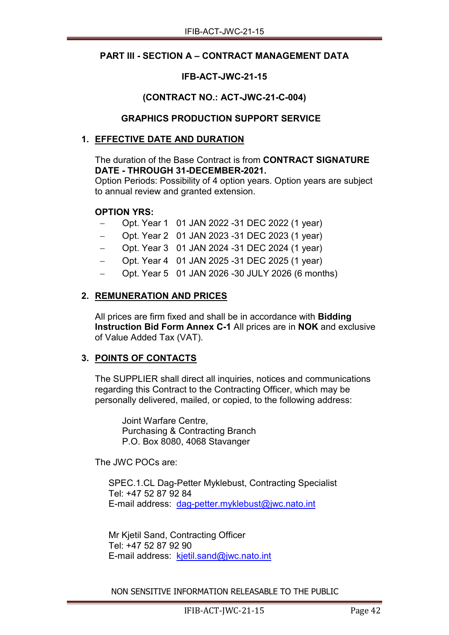# **PART III - SECTION A – CONTRACT MANAGEMENT DATA**

# **IFB-ACT-JWC-21-15**

# **(CONTRACT NO.: ACT-JWC-21-C-004)**

# **GRAPHICS PRODUCTION SUPPORT SERVICE**

# **1. EFFECTIVE DATE AND DURATION**

The duration of the Base Contract is from **CONTRACT SIGNATURE DATE - THROUGH 31-DECEMBER-2021.**

Option Periods: Possibility of 4 option years. Option years are subject to annual review and granted extension.

#### **OPTION YRS:**

- − Opt. Year 1 01 JAN 2022 -31 DEC 2022 (1 year)
- − Opt. Year 2 01 JAN 2023 -31 DEC 2023 (1 year)
- − Opt. Year 3 01 JAN 2024 -31 DEC 2024 (1 year)
- − Opt. Year 4 01 JAN 2025 -31 DEC 2025 (1 year)
- − Opt. Year 5 01 JAN 2026 -30 JULY 2026 (6 months)

# **2. REMUNERATION AND PRICES**

All prices are firm fixed and shall be in accordance with **Bidding Instruction Bid Form Annex C-1** All prices are in **NOK** and exclusive of Value Added Tax (VAT).

#### **3. POINTS OF CONTACTS**

The SUPPLIER shall direct all inquiries, notices and communications regarding this Contract to the Contracting Officer, which may be personally delivered, mailed, or copied, to the following address:

Joint Warfare Centre, Purchasing & Contracting Branch P.O. Box 8080, 4068 Stavanger

The JWC POCs are:

SPEC.1.CL Dag-Petter Myklebust, Contracting Specialist Tel: +47 52 87 92 84 E-mail address: [dag-petter.myklebust@jwc.nato.int](mailto:dag-petter.myklebust@jwc.nato.int)

Mr Kjetil Sand, Contracting Officer Tel: +47 52 87 92 90 E-mail address: kjetil.sand@jwc.nato.int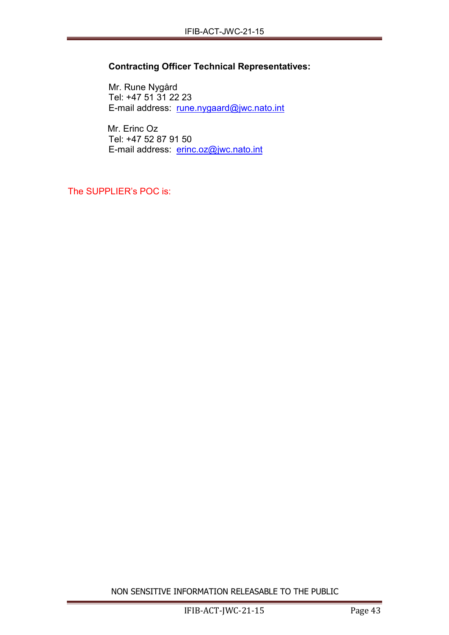# **Contracting Officer Technical Representatives:**

Mr. Rune Nygård Tel: +47 51 31 22 23 E-mail address: [rune.nygaard@jwc.nato.int](mailto:rune.nygaard@jwc.nato.int)

 Mr. Erinc Oz Tel: +47 52 87 91 50 E-mail address: [erinc.oz@jwc.nato.int](mailto:erinc.oz@jwc.nato.int)

The SUPPLIER's POC is: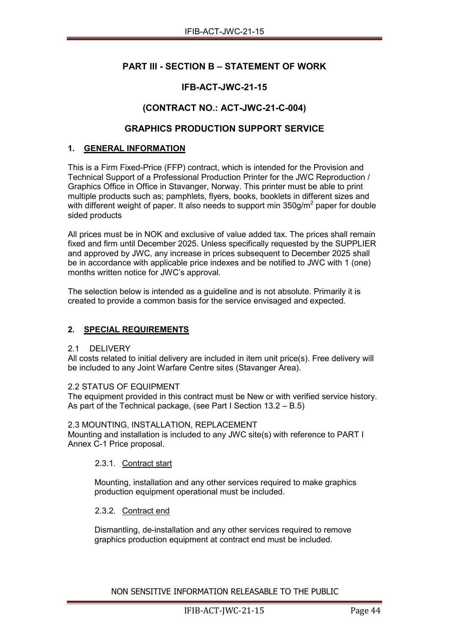# **PART III - SECTION B – STATEMENT OF WORK**

#### **IFB-ACT-JWC-21-15**

# **(CONTRACT NO.: ACT-JWC-21-C-004)**

#### **GRAPHICS PRODUCTION SUPPORT SERVICE**

#### **1. GENERAL INFORMATION**

This is a Firm Fixed-Price (FFP) contract, which is intended for the Provision and Technical Support of a Professional Production Printer for the JWC Reproduction / Graphics Office in Office in Stavanger, Norway. This printer must be able to print multiple products such as; pamphlets, flyers, books, booklets in different sizes and with different weight of paper. It also needs to support min  $350q/m^2$  paper for double sided products

All prices must be in NOK and exclusive of value added tax. The prices shall remain fixed and firm until December 2025. Unless specifically requested by the SUPPLIER and approved by JWC, any increase in prices subsequent to December 2025 shall be in accordance with applicable price indexes and be notified to JWC with 1 (one) months written notice for JWC's approval.

The selection below is intended as a guideline and is not absolute. Primarily it is created to provide a common basis for the service envisaged and expected.

#### **2. SPECIAL REQUIREMENTS**

#### 2.1 DELIVERY

All costs related to initial delivery are included in item unit price(s). Free delivery will be included to any Joint Warfare Centre sites (Stavanger Area).

#### 2.2 STATUS OF EQUIPMENT

The equipment provided in this contract must be New or with verified service history. As part of the Technical package, (see Part I Section 13.2 – B.5)

#### 2.3 MOUNTING, INSTALLATION, REPLACEMENT

Mounting and installation is included to any JWC site(s) with reference to PART I Annex C-1 Price proposal.

#### 2.3.1. Contract start

Mounting, installation and any other services required to make graphics production equipment operational must be included.

#### 2.3.2. Contract end

Dismantling, de-installation and any other services required to remove graphics production equipment at contract end must be included.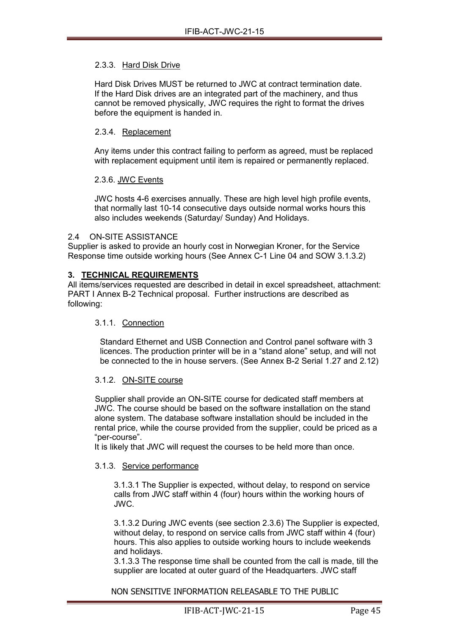#### 2.3.3. Hard Disk Drive

Hard Disk Drives MUST be returned to JWC at contract termination date. If the Hard Disk drives are an integrated part of the machinery, and thus cannot be removed physically, JWC requires the right to format the drives before the equipment is handed in.

#### 2.3.4. Replacement

Any items under this contract failing to perform as agreed, must be replaced with replacement equipment until item is repaired or permanently replaced.

#### 2.3.6. JWC Events

JWC hosts 4-6 exercises annually. These are high level high profile events, that normally last 10-14 consecutive days outside normal works hours this also includes weekends (Saturday/ Sunday) And Holidays.

#### 2.4 ON-SITE ASSISTANCE

Supplier is asked to provide an hourly cost in Norwegian Kroner, for the Service Response time outside working hours (See Annex C-1 Line 04 and SOW 3.1.3.2)

#### **3. TECHNICAL REQUIREMENTS**

All items/services requested are described in detail in excel spreadsheet, attachment: PART I Annex B-2 Technical proposal. Further instructions are described as following:

#### 3.1.1. Connection

Standard Ethernet and USB Connection and Control panel software with 3 licences. The production printer will be in a "stand alone" setup, and will not be connected to the in house servers. (See Annex B-2 Serial 1.27 and 2.12)

#### 3.1.2. ON-SITE course

Supplier shall provide an ON-SITE course for dedicated staff members at JWC. The course should be based on the software installation on the stand alone system. The database software installation should be included in the rental price, while the course provided from the supplier, could be priced as a "per-course".

It is likely that JWC will request the courses to be held more than once.

#### 3.1.3. Service performance

3.1.3.1 The Supplier is expected, without delay, to respond on service calls from JWC staff within 4 (four) hours within the working hours of JWC.

3.1.3.2 During JWC events (see section 2.3.6) The Supplier is expected, without delay, to respond on service calls from JWC staff within 4 (four) hours. This also applies to outside working hours to include weekends and holidays.

3.1.3.3 The response time shall be counted from the call is made, till the supplier are located at outer guard of the Headquarters. JWC staff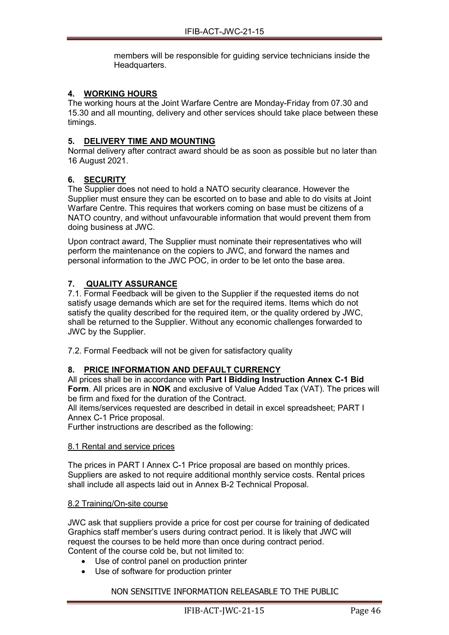members will be responsible for guiding service technicians inside the Headquarters.

#### **4. WORKING HOURS**

The working hours at the Joint Warfare Centre are Monday-Friday from 07.30 and 15.30 and all mounting, delivery and other services should take place between these timings.

#### **5. DELIVERY TIME AND MOUNTING**

Normal delivery after contract award should be as soon as possible but no later than 16 August 2021.

#### **6. SECURITY**

The Supplier does not need to hold a NATO security clearance. However the Supplier must ensure they can be escorted on to base and able to do visits at Joint Warfare Centre. This requires that workers coming on base must be citizens of a NATO country, and without unfavourable information that would prevent them from doing business at JWC.

Upon contract award, The Supplier must nominate their representatives who will perform the maintenance on the copiers to JWC, and forward the names and personal information to the JWC POC, in order to be let onto the base area.

#### **7. QUALITY ASSURANCE**

7.1. Formal Feedback will be given to the Supplier if the requested items do not satisfy usage demands which are set for the required items. Items which do not satisfy the quality described for the required item, or the quality ordered by JWC, shall be returned to the Supplier. Without any economic challenges forwarded to JWC by the Supplier.

7.2. Formal Feedback will not be given for satisfactory quality

#### **8. PRICE INFORMATION AND DEFAULT CURRENCY**

All prices shall be in accordance with **Part I Bidding Instruction Annex C-1 Bid Form**. All prices are in **NOK** and exclusive of Value Added Tax (VAT). The prices will

be firm and fixed for the duration of the Contract.

All items/services requested are described in detail in excel spreadsheet; PART I Annex C-1 Price proposal.

Further instructions are described as the following:

#### 8.1 Rental and service prices

The prices in PART I Annex C-1 Price proposal are based on monthly prices. Suppliers are asked to not require additional monthly service costs. Rental prices shall include all aspects laid out in Annex B-2 Technical Proposal.

#### 8.2 Training/On-site course

JWC ask that suppliers provide a price for cost per course for training of dedicated Graphics staff member's users during contract period. It is likely that JWC will request the courses to be held more than once during contract period. Content of the course cold be, but not limited to:

- Use of control panel on production printer
- Use of software for production printer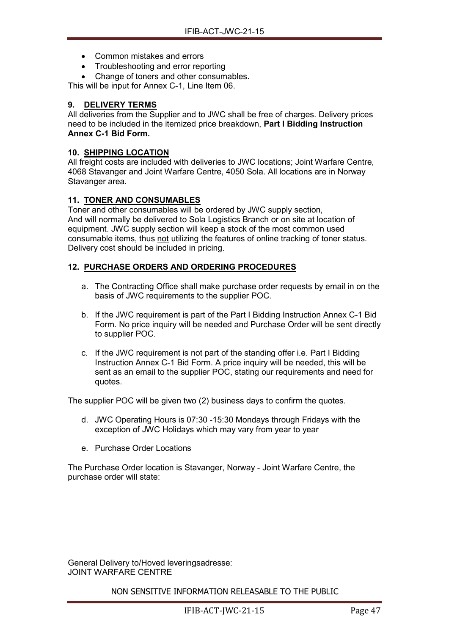- Common mistakes and errors
- Troubleshooting and error reporting
- Change of toners and other consumables.

This will be input for Annex C-1, Line Item 06.

#### **9. DELIVERY TERMS**

All deliveries from the Supplier and to JWC shall be free of charges. Delivery prices need to be included in the itemized price breakdown, **Part I Bidding Instruction Annex C-1 Bid Form.**

#### **10. SHIPPING LOCATION**

All freight costs are included with deliveries to JWC locations; Joint Warfare Centre, 4068 Stavanger and Joint Warfare Centre, 4050 Sola. All locations are in Norway Stavanger area.

#### **11. TONER AND CONSUMABLES**

Toner and other consumables will be ordered by JWC supply section, And will normally be delivered to Sola Logistics Branch or on site at location of equipment. JWC supply section will keep a stock of the most common used consumable items, thus not utilizing the features of online tracking of toner status. Delivery cost should be included in pricing.

#### **12. PURCHASE ORDERS AND ORDERING PROCEDURES**

- a. The Contracting Office shall make purchase order requests by email in on the basis of JWC requirements to the supplier POC.
- b. If the JWC requirement is part of the Part I Bidding Instruction Annex C-1 Bid Form. No price inquiry will be needed and Purchase Order will be sent directly to supplier POC.
- c. If the JWC requirement is not part of the standing offer i.e. Part I Bidding Instruction Annex C-1 Bid Form. A price inquiry will be needed, this will be sent as an email to the supplier POC, stating our requirements and need for quotes.

The supplier POC will be given two (2) business days to confirm the quotes.

- d. JWC Operating Hours is 07:30 -15:30 Mondays through Fridays with the exception of JWC Holidays which may vary from year to year
- e. Purchase Order Locations

The Purchase Order location is Stavanger, Norway - Joint Warfare Centre, the purchase order will state:

General Delivery to/Hoved leveringsadresse: JOINT WARFARE CENTRE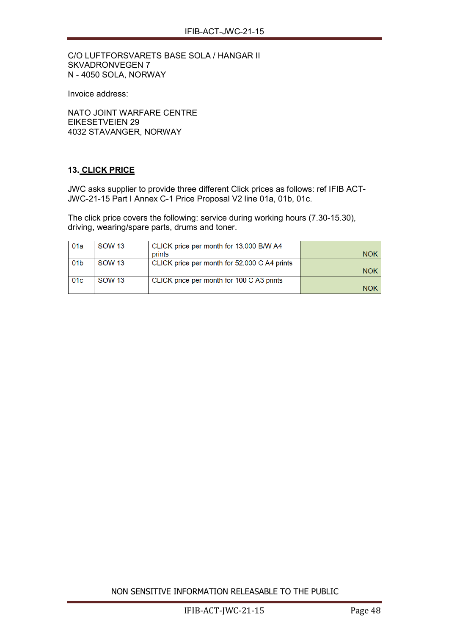C/O LUFTFORSVARETS BASE SOLA / HANGAR II SKVADRONVEGEN 7 N - 4050 SOLA, NORWAY

Invoice address:

NATO JOINT WARFARE CENTRE EIKESETVEIEN 29 4032 STAVANGER, NORWAY

#### **13. CLICK PRICE**

JWC asks supplier to provide three different Click prices as follows: ref IFIB ACT-JWC-21-15 Part I Annex C-1 Price Proposal V2 line 01a, 01b, 01c.

The click price covers the following: service during working hours (7.30-15.30), driving, wearing/spare parts, drums and toner.

| 01a             | <b>SOW 13</b> | CLICK price per month for 13,000 B/W A4<br>prints | <b>NOK</b> |
|-----------------|---------------|---------------------------------------------------|------------|
| 01 <sub>b</sub> | <b>SOW 13</b> | CLICK price per month for 52,000 C A4 prints      |            |
|                 |               |                                                   | <b>NOK</b> |
| 01c             | <b>SOW 13</b> | CLICK price per month for 100 C A3 prints         |            |
|                 |               |                                                   | <b>NOK</b> |